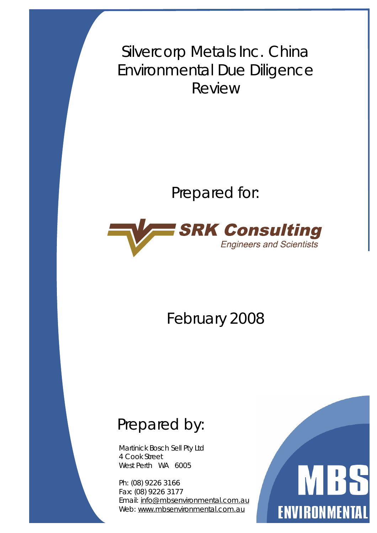Silvercorp Metals Inc. China Environmental Due Diligence Review

Prepared for:



February 2008

# Prepared by:

Martinick Bosch Sell Pty Ltd 4 Cook Street West Perth WA 6005

Ph: (08) 9226 3166 Fax: (08) 9226 3177 Email: [info@mbsenvironmental.com.au](mailto:info@mbsenvironmental.com.au) Web: [www.mbsenvironmental.com.au](http://www.mbsenvironmental.com.au)

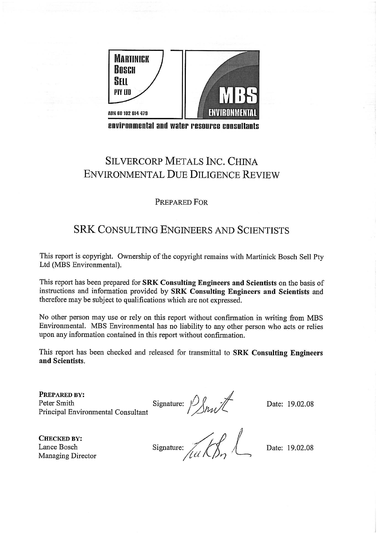

environmental and water resource consultants

## **SILVERCORP METALS INC. CHINA ENVIRONMENTAL DUE DILIGENCE REVIEW**

#### PREPARED FOR

## **SRK CONSULTING ENGINEERS AND SCIENTISTS**

This report is copyright. Ownership of the copyright remains with Martinick Bosch Sell Pty Ltd (MBS Environmental).

This report has been prepared for SRK Consulting Engineers and Scientists on the basis of instructions and information provided by SRK Consulting Engineers and Scientists and therefore may be subject to qualifications which are not expressed.

No other person may use or rely on this report without confirmation in writing from MBS Environmental. MBS Environmental has no liability to any other person who acts or relies upon any information contained in this report without confirmation.

This report has been checked and released for transmittal to SRK Consulting Engineers and Scientists.

PREPARED BY: Peter Smith Principal Environmental Consultant

Signature:  $\frac{1}{\sqrt{N}}$ 

Date: 19.02.08

**CHECKED BY:** Lance Bosch Managing Director

Signature:  $\sqrt{\frac{1}{1-u}}\sqrt{\frac{1}{2}}$ 

Date: 19.02.08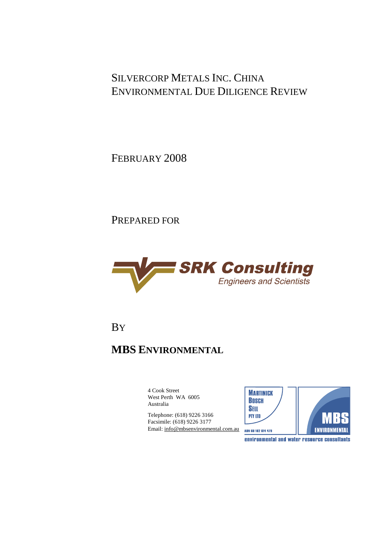## SILVERCORP METALS INC. CHINA ENVIRONMENTAL DUE DILIGENCE REVIEW

FEBRUARY 2008

PREPARED FOR



BY

## **MBS ENVIRONMENTAL**

4 Cook Street West Perth WA 6005 Australia

Telephone: (618) 9226 3166 Facsimile: (618) 9226 3177 Email: [info@mbsenvironmental.com.au](mailto:info@mbsenvironmental.com.au)

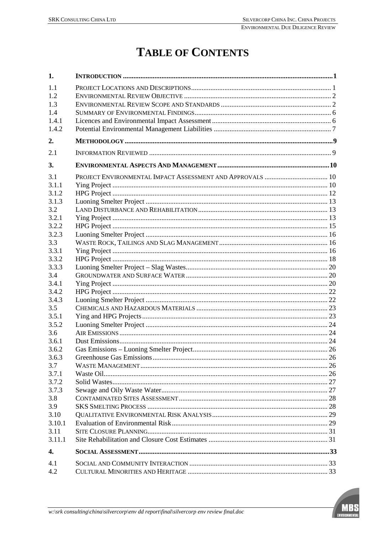# **TABLE OF CONTENTS**

| 1.     |  |
|--------|--|
| 1.1    |  |
| 1.2    |  |
| 1.3    |  |
| 1.4    |  |
| 1.4.1  |  |
| 1.4.2  |  |
| 2.     |  |
| 2.1    |  |
| 3.     |  |
| 3.1    |  |
| 3.1.1  |  |
| 3.1.2  |  |
| 3.1.3  |  |
| 3.2    |  |
| 3.2.1  |  |
| 3.2.2  |  |
| 3.2.3  |  |
| 3.3    |  |
| 3.3.1  |  |
| 3.3.2  |  |
| 3.3.3  |  |
| 3.4    |  |
| 3.4.1  |  |
| 3.4.2  |  |
| 3.4.3  |  |
| 3.5    |  |
| 3.5.1  |  |
| 3.5.2  |  |
| 3.6    |  |
| 3.6.1  |  |
| 3.6.2  |  |
| 3.6.3  |  |
| 3.7    |  |
| 3.7.1  |  |
| 3.7.2  |  |
| 3.7.3  |  |
| 3.8    |  |
| 3.9    |  |
| 3.10   |  |
| 3.10.1 |  |
| 3.11   |  |
| 3.11.1 |  |
| 4.     |  |
| 4.1    |  |
| 4.2    |  |
|        |  |

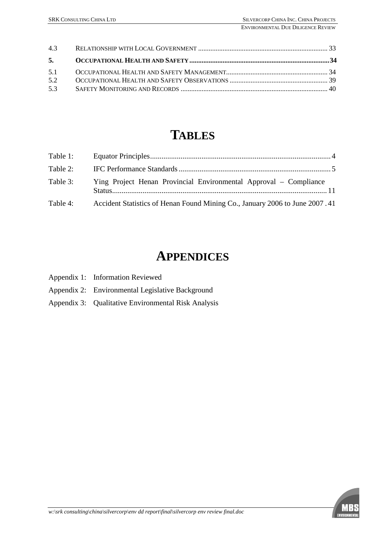| 5.  |  |
|-----|--|
|     |  |
| 5.2 |  |
| 5.3 |  |
|     |  |

# **TABLES**

| Table 1: |                                                                             |  |
|----------|-----------------------------------------------------------------------------|--|
| Table 2: |                                                                             |  |
| Table 3: | Ying Project Henan Provincial Environmental Approval – Compliance           |  |
| Table 4: | Accident Statistics of Henan Found Mining Co., January 2006 to June 2007.41 |  |

# **APPENDICES**

| Appendix 1: Information Reviewed |
|----------------------------------|
|----------------------------------|

- Appendix 2: Environmental Legislative Background
- Appendix 3: Qualitative Environmental Risk Analysis

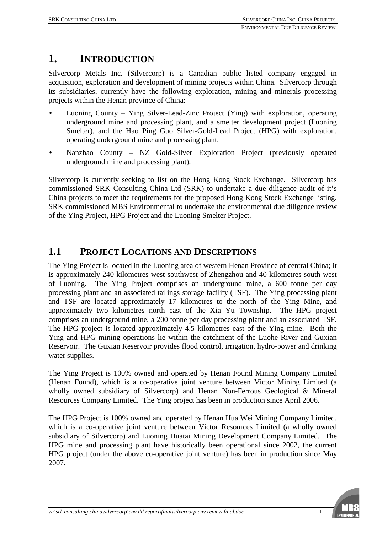## **1. INTRODUCTION**

Silvercorp Metals Inc. (Silvercorp) is a Canadian public listed company engaged in acquisition, exploration and development of mining projects within China. Silvercorp through its subsidiaries, currently have the following exploration, mining and minerals processing projects within the Henan province of China:

- Luoning County Ying Silver-Lead-Zinc Project (Ying) with exploration, operating underground mine and processing plant, and a smelter development project (Luoning Smelter), and the Hao Ping Guo Silver-Gold-Lead Project (HPG) with exploration, operating underground mine and processing plant.
- Nanzhao County NZ Gold-Silver Exploration Project (previously operated underground mine and processing plant).

Silvercorp is currently seeking to list on the Hong Kong Stock Exchange. Silvercorp has commissioned SRK Consulting China Ltd (SRK) to undertake a due diligence audit of it's China projects to meet the requirements for the proposed Hong Kong Stock Exchange listing. SRK commissioned MBS Environmental to undertake the environmental due diligence review of the Ying Project, HPG Project and the Luoning Smelter Project.

## **1.1 PROJECT LOCATIONS AND DESCRIPTIONS**

The Ying Project is located in the Luoning area of western Henan Province of central China; it is approximately 240 kilometres west-southwest of Zhengzhou and 40 kilometres south west of Luoning. The Ying Project comprises an underground mine, a 600 tonne per day processing plant and an associated tailings storage facility (TSF). The Ying processing plant and TSF are located approximately 17 kilometres to the north of the Ying Mine, and approximately two kilometres north east of the Xia Yu Township. The HPG project comprises an underground mine, a 200 tonne per day processing plant and an associated TSF. The HPG project is located approximately 4.5 kilometres east of the Ying mine. Both the Ying and HPG mining operations lie within the catchment of the Luohe River and Guxian Reservoir. The Guxian Reservoir provides flood control, irrigation, hydro-power and drinking water supplies.

The Ying Project is 100% owned and operated by Henan Found Mining Company Limited (Henan Found), which is a co-operative joint venture between Victor Mining Limited (a wholly owned subsidiary of Silvercorp) and Henan Non-Ferrous Geological & Mineral Resources Company Limited. The Ying project has been in production since April 2006.

The HPG Project is 100% owned and operated by Henan Hua Wei Mining Company Limited, which is a co-operative joint venture between Victor Resources Limited (a wholly owned subsidiary of Silvercorp) and Luoning Huatai Mining Development Company Limited. The HPG mine and processing plant have historically been operational since 2002, the current HPG project (under the above co-operative joint venture) has been in production since May 2007.

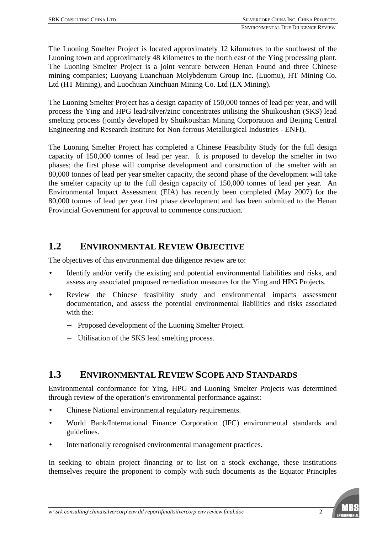The Luoning Smelter Project is located approximately 12 kilometres to the southwest of the Luoning town and approximately 48 kilometres to the north east of the Ying processing plant. The Luoning Smelter Project is a joint venture between Henan Found and three Chinese mining companies; Luoyang Luanchuan Molybdenum Group Inc. (Luomu), HT Mining Co. Ltd (HT Mining), and Luochuan Xinchuan Mining Co. Ltd (LX Mining).

The Luoning Smelter Project has a design capacity of 150,000 tonnes of lead per year, and will process the Ying and HPG lead/silver/zinc concentrates utilising the Shuikoushan (SKS) lead smelting process (jointly developed by Shuikoushan Mining Corporation and Beijing Central Engineering and Research Institute for Non-ferrous Metallurgical Industries - ENFI).

The Luoning Smelter Project has completed a Chinese Feasibility Study for the full design capacity of 150,000 tonnes of lead per year. It is proposed to develop the smelter in two phases; the first phase will comprise development and construction of the smelter with an 80,000 tonnes of lead per year smelter capacity, the second phase of the development will take the smelter capacity up to the full design capacity of 150,000 tonnes of lead per year. An Environmental Impact Assessment (EIA) has recently been completed (May 2007) for the 80,000 tonnes of lead per year first phase development and has been submitted to the Henan Provincial Government for approval to commence construction.

## **1.2 ENVIRONMENTAL REVIEW OBJECTIVE**

The objectives of this environmental due diligence review are to:

- Identify and/or verify the existing and potential environmental liabilities and risks, and assess any associated proposed remediation measures for the Ying and HPG Projects.
- Review the Chinese feasibility study and environmental impacts assessment documentation, and assess the potential environmental liabilities and risks associated with the:
	- − Proposed development of the Luoning Smelter Project.
	- − Utilisation of the SKS lead smelting process.

## **1.3 ENVIRONMENTAL REVIEW SCOPE AND STANDARDS**

Environmental conformance for Ying, HPG and Luoning Smelter Projects was determined through review of the operation's environmental performance against:

- Chinese National environmental regulatory requirements.
- World Bank/International Finance Corporation (IFC) environmental standards and guidelines.
- Internationally recognised environmental management practices.

In seeking to obtain project financing or to list on a stock exchange, these institutions themselves require the proponent to comply with such documents as the Equator Principles

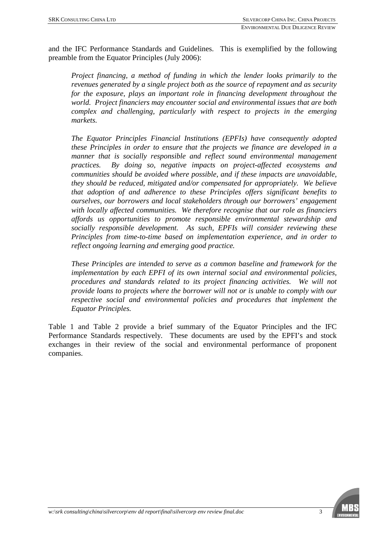and the IFC Performance Standards and Guidelines. This is exemplified by the following preamble from the Equator Principles (July 2006):

*Project financing, a method of funding in which the lender looks primarily to the revenues generated by a single project both as the source of repayment and as security for the exposure, plays an important role in financing development throughout the world. Project financiers may encounter social and environmental issues that are both complex and challenging, particularly with respect to projects in the emerging markets.* 

*The Equator Principles Financial Institutions (EPFIs) have consequently adopted these Principles in order to ensure that the projects we finance are developed in a manner that is socially responsible and reflect sound environmental management practices. By doing so, negative impacts on project-affected ecosystems and communities should be avoided where possible, and if these impacts are unavoidable, they should be reduced, mitigated and/or compensated for appropriately. We believe that adoption of and adherence to these Principles offers significant benefits to ourselves, our borrowers and local stakeholders through our borrowers' engagement with locally affected communities. We therefore recognise that our role as financiers affords us opportunities to promote responsible environmental stewardship and socially responsible development. As such, EPFIs will consider reviewing these Principles from time-to-time based on implementation experience, and in order to reflect ongoing learning and emerging good practice.* 

*These Principles are intended to serve as a common baseline and framework for the implementation by each EPFI of its own internal social and environmental policies, procedures and standards related to its project financing activities. We will not provide loans to projects where the borrower will not or is unable to comply with our respective social and environmental policies and procedures that implement the Equator Principles.*

Table 1 and Table 2 provide a brief summary of the Equator Principles and the IFC Performance Standards respectively. These documents are used by the EPFI's and stock exchanges in their review of the social and environmental performance of proponent companies.

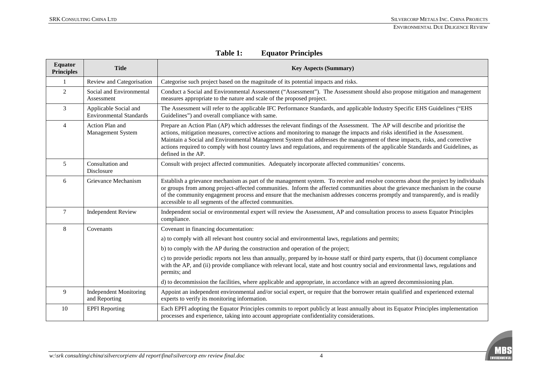| <b>Equator</b><br><b>Principles</b> | <b>Title</b>                                            | <b>Key Aspects (Summary)</b>                                                                                                                                                                                                                                                                                                                                                                                                                                                                                                                             |
|-------------------------------------|---------------------------------------------------------|----------------------------------------------------------------------------------------------------------------------------------------------------------------------------------------------------------------------------------------------------------------------------------------------------------------------------------------------------------------------------------------------------------------------------------------------------------------------------------------------------------------------------------------------------------|
| 1                                   | Review and Categorisation                               | Categorise such project based on the magnitude of its potential impacts and risks.                                                                                                                                                                                                                                                                                                                                                                                                                                                                       |
| $\overline{2}$                      | Social and Environmental<br>Assessment                  | Conduct a Social and Environmental Assessment ("Assessment"). The Assessment should also propose mitigation and management<br>measures appropriate to the nature and scale of the proposed project.                                                                                                                                                                                                                                                                                                                                                      |
| 3                                   | Applicable Social and<br><b>Environmental Standards</b> | The Assessment will refer to the applicable IFC Performance Standards, and applicable Industry Specific EHS Guidelines ("EHS<br>Guidelines") and overall compliance with same.                                                                                                                                                                                                                                                                                                                                                                           |
| $\overline{4}$                      | Action Plan and<br>Management System                    | Prepare an Action Plan (AP) which addresses the relevant findings of the Assessment. The AP will describe and prioritise the<br>actions, mitigation measures, corrective actions and monitoring to manage the impacts and risks identified in the Assessment.<br>Maintain a Social and Environmental Management System that addresses the management of these impacts, risks, and corrective<br>actions required to comply with host country laws and regulations, and requirements of the applicable Standards and Guidelines, as<br>defined in the AP. |
| 5                                   | Consultation and<br>Disclosure                          | Consult with project affected communities. Adequately incorporate affected communities' concerns.                                                                                                                                                                                                                                                                                                                                                                                                                                                        |
| 6                                   | Grievance Mechanism                                     | Establish a grievance mechanism as part of the management system. To receive and resolve concerns about the project by individuals<br>or groups from among project-affected communities. Inform the affected communities about the grievance mechanism in the course<br>of the community engagement process and ensure that the mechanism addresses concerns promptly and transparently, and is readily<br>accessible to all segments of the affected communities.                                                                                       |
| $\overline{7}$                      | <b>Independent Review</b>                               | Independent social or environmental expert will review the Assessment, AP and consultation process to assess Equator Principles<br>compliance.                                                                                                                                                                                                                                                                                                                                                                                                           |
| 8                                   | Covenants                                               | Covenant in financing documentation:                                                                                                                                                                                                                                                                                                                                                                                                                                                                                                                     |
|                                     |                                                         | a) to comply with all relevant host country social and environmental laws, regulations and permits;                                                                                                                                                                                                                                                                                                                                                                                                                                                      |
|                                     |                                                         | b) to comply with the AP during the construction and operation of the project;                                                                                                                                                                                                                                                                                                                                                                                                                                                                           |
|                                     |                                                         | c) to provide periodic reports not less than annually, prepared by in-house staff or third party experts, that (i) document compliance<br>with the AP, and (ii) provide compliance with relevant local, state and host country social and environmental laws, regulations and<br>permits; and                                                                                                                                                                                                                                                            |
|                                     |                                                         | d) to decommission the facilities, where applicable and appropriate, in accordance with an agreed decommissioning plan.                                                                                                                                                                                                                                                                                                                                                                                                                                  |
| 9                                   | <b>Independent Monitoring</b><br>and Reporting          | Appoint an independent environmental and/or social expert, or require that the borrower retain qualified and experienced external<br>experts to verify its monitoring information.                                                                                                                                                                                                                                                                                                                                                                       |
| 10                                  | <b>EPFI</b> Reporting                                   | Each EPFI adopting the Equator Principles commits to report publicly at least annually about its Equator Principles implementation<br>processes and experience, taking into account appropriate confidentiality considerations.                                                                                                                                                                                                                                                                                                                          |

| Table 1: | <b>Equator Principles</b> |
|----------|---------------------------|
|----------|---------------------------|

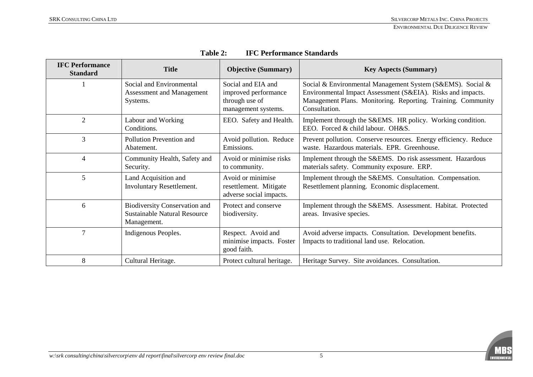| <b>IFC Performance</b><br><b>Standard</b> | <b>Title</b>                                                                               | <b>Objective (Summary)</b>                                                          | <b>Key Aspects (Summary)</b>                                                                                                                                                                               |
|-------------------------------------------|--------------------------------------------------------------------------------------------|-------------------------------------------------------------------------------------|------------------------------------------------------------------------------------------------------------------------------------------------------------------------------------------------------------|
|                                           | Social and Environmental<br>Assessment and Management<br>Systems.                          | Social and EIA and<br>improved performance<br>through use of<br>management systems. | Social & Environmental Management System (S&EMS). Social &<br>Environmental Impact Assessment (S&EIA). Risks and impacts.<br>Management Plans. Monitoring. Reporting. Training. Community<br>Consultation. |
| $\overline{2}$                            | Labour and Working<br>Conditions.                                                          | EEO. Safety and Health.                                                             | Implement through the S&EMS. HR policy. Working condition.<br>EEO. Forced & child labour. OH&S.                                                                                                            |
| 3                                         | Pollution Prevention and<br>Abatement.                                                     | Avoid pollution. Reduce<br>Emissions.                                               | Prevent pollution. Conserve resources. Energy efficiency. Reduce<br>waste. Hazardous materials. EPR. Greenhouse.                                                                                           |
| 4                                         | Community Health, Safety and<br>Security.                                                  | Avoid or minimise risks<br>to community.                                            | Implement through the S&EMS. Do risk assessment. Hazardous<br>materials safety. Community exposure. ERP.                                                                                                   |
| 5                                         | Land Acquisition and<br>Involuntary Resettlement.                                          | Avoid or minimise<br>resettlement. Mitigate<br>adverse social impacts.              | Implement through the S&EMS. Consultation. Compensation.<br>Resettlement planning. Economic displacement.                                                                                                  |
| 6                                         | <b>Biodiversity Conservation and</b><br><b>Sustainable Natural Resource</b><br>Management. | Protect and conserve<br>biodiversity.                                               | Implement through the S&EMS. Assessment. Habitat. Protected<br>areas. Invasive species.                                                                                                                    |
| 7                                         | Indigenous Peoples.                                                                        | Respect. Avoid and<br>minimise impacts. Foster<br>good faith.                       | Avoid adverse impacts. Consultation. Development benefits.<br>Impacts to traditional land use. Relocation.                                                                                                 |
| 8                                         | Cultural Heritage.                                                                         | Protect cultural heritage.                                                          | Heritage Survey. Site avoidances. Consultation.                                                                                                                                                            |

**Table 2: IFC Performance Standards** 

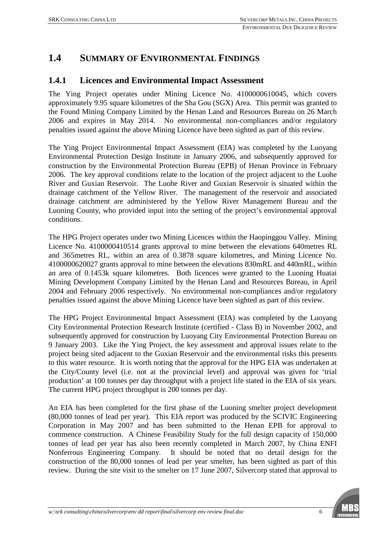## **1.4 SUMMARY OF ENVIRONMENTAL FINDINGS**

#### **1.4.1 Licences and Environmental Impact Assessment**

The Ying Project operates under Mining Licence No. 4100000610045, which covers approximately 9.95 square kilometres of the Sha Gou (SGX) Area. This permit was granted to the Found Mining Company Limited by the Henan Land and Resources Bureau on 26 March 2006 and expires in May 2014. No environmental non-compliances and/or regulatory penalties issued against the above Mining Licence have been sighted as part of this review.

The Ying Project Environmental Impact Assessment (EIA) was completed by the Luoyang Environmental Protection Design Institute in January 2006, and subsequently approved for construction by the Environmental Protection Bureau (EPB) of Henan Province in February 2006. The key approval conditions relate to the location of the project adjacent to the Luohe River and Guxian Reservoir. The Luohe River and Guxian Reservoir is situated within the drainage catchment of the Yellow River. The management of the reservoir and associated drainage catchment are administered by the Yellow River Management Bureau and the Luoning County, who provided input into the setting of the project's environmental approval conditions.

The HPG Project operates under two Mining Licences within the Haopinggou Valley. Mining Licence No. 4100000410514 grants approval to mine between the elevations 640metres RL and 365metres RL, within an area of 0.3878 square kilometres, and Mining Licence No. 4100000620027 grants approval to mine between the elevations 830mRL and 440mRL, within an area of 0.1453k square kilometres. Both licences were granted to the Luoning Huatai Mining Development Company Limited by the Henan Land and Resources Bureau, in April 2004 and February 2006 respectively. No environmental non-compliances and/or regulatory penalties issued against the above Mining Licence have been sighted as part of this review.

The HPG Project Environmental Impact Assessment (EIA) was completed by the Luoyang City Environmental Protection Research Institute (certified - Class B) in November 2002, and subsequently approved for construction by Luoyang City Environmental Protection Bureau on 9 January 2003. Like the Ying Project, the key assessment and approval issues relate to the project being sited adjacent to the Guxian Reservoir and the environmental risks this presents to this water resource. It is worth noting that the approval for the HPG EIA was undertaken at the City/County level (i.e. not at the provincial level) and approval was given for 'trial production' at 100 tonnes per day throughput with a project life stated in the EIA of six years. The current HPG project throughput is 200 tonnes per day.

An EIA has been completed for the first phase of the Luoning smelter project development (80,000 tonnes of lead per year). This EIA report was produced by the SCIVIC Engineering Corporation in May 2007 and has been submitted to the Henan EPB for approval to commence construction. A Chinese Feasibility Study for the full design capacity of 150,000 tonnes of lead per year has also been recently completed in March 2007, by China ENFI Nonferrous Engineering Company. It should be noted that no detail design for the construction of the 80,000 tonnes of lead per year smelter, has been sighted as part of this review. During the site visit to the smelter on 17 June 2007, Silvercorp stated that approval to

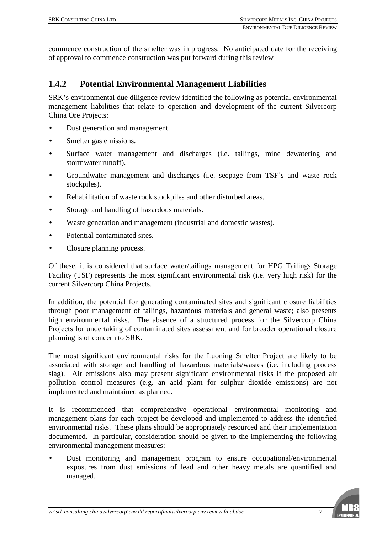commence construction of the smelter was in progress. No anticipated date for the receiving of approval to commence construction was put forward during this review

#### **1.4.2 Potential Environmental Management Liabilities**

SRK's environmental due diligence review identified the following as potential environmental management liabilities that relate to operation and development of the current Silvercorp China Ore Projects:

- Dust generation and management.
- Smelter gas emissions.
- Surface water management and discharges (i.e. tailings, mine dewatering and stormwater runoff).
- Groundwater management and discharges (i.e. seepage from TSF's and waste rock stockpiles).
- Rehabilitation of waste rock stockpiles and other disturbed areas.
- Storage and handling of hazardous materials.
- Waste generation and management (industrial and domestic wastes).
- Potential contaminated sites.
- Closure planning process.

Of these, it is considered that surface water/tailings management for HPG Tailings Storage Facility (TSF) represents the most significant environmental risk (i.e. very high risk) for the current Silvercorp China Projects.

In addition, the potential for generating contaminated sites and significant closure liabilities through poor management of tailings, hazardous materials and general waste; also presents high environmental risks. The absence of a structured process for the Silvercorp China Projects for undertaking of contaminated sites assessment and for broader operational closure planning is of concern to SRK.

The most significant environmental risks for the Luoning Smelter Project are likely to be associated with storage and handling of hazardous materials/wastes (i.e. including process slag). Air emissions also may present significant environmental risks if the proposed air pollution control measures (e.g. an acid plant for sulphur dioxide emissions) are not implemented and maintained as planned.

It is recommended that comprehensive operational environmental monitoring and management plans for each project be developed and implemented to address the identified environmental risks. These plans should be appropriately resourced and their implementation documented. In particular, consideration should be given to the implementing the following environmental management measures:

• Dust monitoring and management program to ensure occupational/environmental exposures from dust emissions of lead and other heavy metals are quantified and managed.

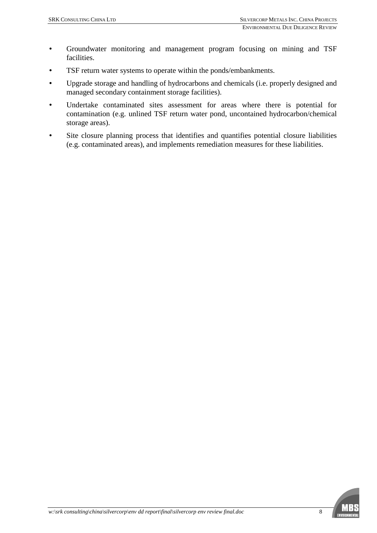- Groundwater monitoring and management program focusing on mining and TSF facilities.
- TSF return water systems to operate within the ponds/embankments.
- Upgrade storage and handling of hydrocarbons and chemicals (i.e. properly designed and managed secondary containment storage facilities).
- Undertake contaminated sites assessment for areas where there is potential for contamination (e.g. unlined TSF return water pond, uncontained hydrocarbon/chemical storage areas).
- Site closure planning process that identifies and quantifies potential closure liabilities (e.g. contaminated areas), and implements remediation measures for these liabilities.

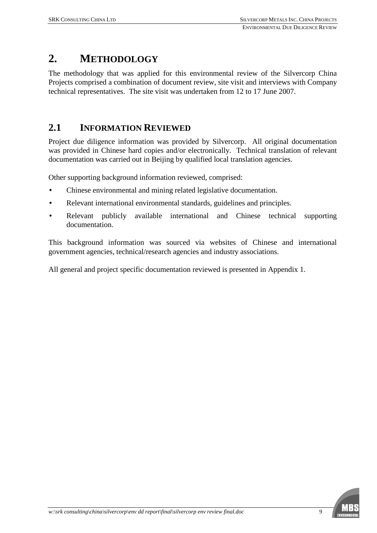## **2. METHODOLOGY**

The methodology that was applied for this environmental review of the Silvercorp China Projects comprised a combination of document review, site visit and interviews with Company technical representatives. The site visit was undertaken from 12 to 17 June 2007.

## **2.1 INFORMATION REVIEWED**

Project due diligence information was provided by Silvercorp. All original documentation was provided in Chinese hard copies and/or electronically. Technical translation of relevant documentation was carried out in Beijing by qualified local translation agencies.

Other supporting background information reviewed, comprised:

- Chinese environmental and mining related legislative documentation.
- Relevant international environmental standards, guidelines and principles.
- Relevant publicly available international and Chinese technical supporting documentation.

This background information was sourced via websites of Chinese and international government agencies, technical/research agencies and industry associations.

All general and project specific documentation reviewed is presented in Appendix 1.

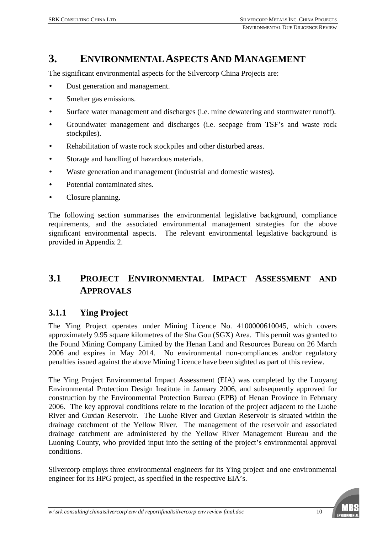## **3. ENVIRONMENTAL ASPECTS AND MANAGEMENT**

The significant environmental aspects for the Silvercorp China Projects are:

- Dust generation and management.
- Smelter gas emissions.
- Surface water management and discharges (i.e. mine dewatering and stormwater runoff).
- Groundwater management and discharges (i.e. seepage from TSF's and waste rock stockpiles).
- Rehabilitation of waste rock stockpiles and other disturbed areas.
- Storage and handling of hazardous materials.
- Waste generation and management (industrial and domestic wastes).
- Potential contaminated sites.
- Closure planning.

The following section summarises the environmental legislative background, compliance requirements, and the associated environmental management strategies for the above significant environmental aspects. The relevant environmental legislative background is provided in Appendix 2.

## **3.1 PROJECT ENVIRONMENTAL IMPACT ASSESSMENT AND APPROVALS**

#### **3.1.1 Ying Project**

The Ying Project operates under Mining Licence No. 4100000610045, which covers approximately 9.95 square kilometres of the Sha Gou (SGX) Area. This permit was granted to the Found Mining Company Limited by the Henan Land and Resources Bureau on 26 March 2006 and expires in May 2014. No environmental non-compliances and/or regulatory penalties issued against the above Mining Licence have been sighted as part of this review.

The Ying Project Environmental Impact Assessment (EIA) was completed by the Luoyang Environmental Protection Design Institute in January 2006, and subsequently approved for construction by the Environmental Protection Bureau (EPB) of Henan Province in February 2006. The key approval conditions relate to the location of the project adjacent to the Luohe River and Guxian Reservoir. The Luohe River and Guxian Reservoir is situated within the drainage catchment of the Yellow River. The management of the reservoir and associated drainage catchment are administered by the Yellow River Management Bureau and the Luoning County, who provided input into the setting of the project's environmental approval conditions.

Silvercorp employs three environmental engineers for its Ying project and one environmental engineer for its HPG project, as specified in the respective EIA's.

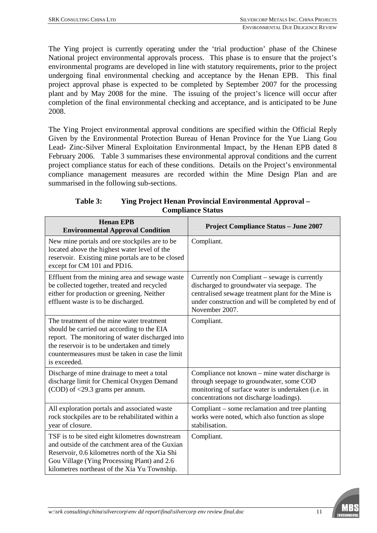The Ying project is currently operating under the 'trial production' phase of the Chinese National project environmental approvals process. This phase is to ensure that the project's environmental programs are developed in line with statutory requirements, prior to the project undergoing final environmental checking and acceptance by the Henan EPB. This final project approval phase is expected to be completed by September 2007 for the processing plant and by May 2008 for the mine. The issuing of the project's licence will occur after completion of the final environmental checking and acceptance, and is anticipated to be June 2008.

The Ying Project environmental approval conditions are specified within the Official Reply Given by the Environmental Protection Bureau of Henan Province for the Yue Liang Gou Lead- Zinc-Silver Mineral Exploitation Environmental Impact, by the Henan EPB dated 8 February 2006. Table 3 summarises these environmental approval conditions and the current project compliance status for each of these conditions. Details on the Project's environmental compliance management measures are recorded within the Mine Design Plan and are summarised in the following sub-sections.

| <b>Henan EPB</b><br><b>Environmental Approval Condition</b>                                                                                                                                                                                                   | <b>Project Compliance Status - June 2007</b>                                                                                                                                                                              |
|---------------------------------------------------------------------------------------------------------------------------------------------------------------------------------------------------------------------------------------------------------------|---------------------------------------------------------------------------------------------------------------------------------------------------------------------------------------------------------------------------|
| New mine portals and ore stockpiles are to be<br>located above the highest water level of the<br>reservoir. Existing mine portals are to be closed<br>except for CM 101 and PD16.                                                                             | Compliant.                                                                                                                                                                                                                |
| Effluent from the mining area and sewage waste<br>be collected together, treated and recycled<br>either for production or greening. Neither<br>effluent waste is to be discharged.                                                                            | Currently non Compliant – sewage is currently<br>discharged to groundwater via seepage. The<br>centralised sewage treatment plant for the Mine is<br>under construction and will be completed by end of<br>November 2007. |
| The treatment of the mine water treatment<br>should be carried out according to the EIA<br>report. The monitoring of water discharged into<br>the reservoir is to be undertaken and timely<br>countermeasures must be taken in case the limit<br>is exceeded. | Compliant.                                                                                                                                                                                                                |
| Discharge of mine drainage to meet a total<br>discharge limit for Chemical Oxygen Demand<br>(COD) of <29.3 grams per annum.                                                                                                                                   | Compliance not known – mine water discharge is<br>through seepage to groundwater, some COD<br>monitoring of surface water is undertaken (i.e. in<br>concentrations not discharge loadings).                               |
| All exploration portals and associated waste<br>rock stockpiles are to be rehabilitated within a<br>year of closure.                                                                                                                                          | Compliant – some reclamation and tree planting<br>works were noted, which also function as slope<br>stabilisation.                                                                                                        |
| TSF is to be sited eight kilometres downstream<br>and outside of the catchment area of the Guxian<br>Reservoir, 0.6 kilometres north of the Xia Shi<br>Gou Village (Ying Processing Plant) and 2.6<br>kilometres northeast of the Xia Yu Township.            | Compliant.                                                                                                                                                                                                                |

**Table 3: Ying Project Henan Provincial Environmental Approval – Compliance Status** 

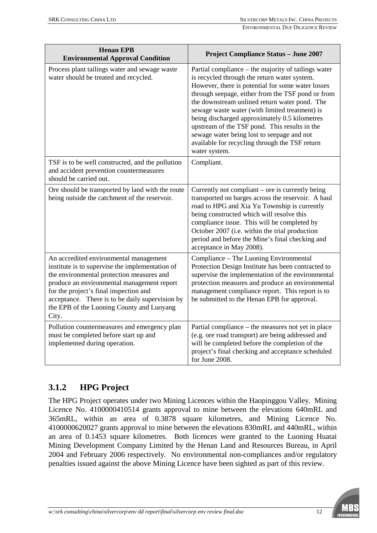| <b>Henan EPB</b><br><b>Environmental Approval Condition</b>                                                                                                                                                                                                                                                                             | <b>Project Compliance Status - June 2007</b>                                                                                                                                                                                                                                                                                                                                                                                                                                                                                        |
|-----------------------------------------------------------------------------------------------------------------------------------------------------------------------------------------------------------------------------------------------------------------------------------------------------------------------------------------|-------------------------------------------------------------------------------------------------------------------------------------------------------------------------------------------------------------------------------------------------------------------------------------------------------------------------------------------------------------------------------------------------------------------------------------------------------------------------------------------------------------------------------------|
| Process plant tailings water and sewage waste<br>water should be treated and recycled.                                                                                                                                                                                                                                                  | Partial compliance – the majority of tailings water<br>is recycled through the return water system.<br>However, there is potential for some water losses<br>through seepage, either from the TSF pond or from<br>the downstream unlined return water pond. The<br>sewage waste water (with limited treatment) is<br>being discharged approximately 0.5 kilometres<br>upstream of the TSF pond. This results in the<br>sewage water being lost to seepage and not<br>available for recycling through the TSF return<br>water system. |
| TSF is to be well constructed, and the pollution<br>and accident prevention countermeasures<br>should be carried out.                                                                                                                                                                                                                   | Compliant.                                                                                                                                                                                                                                                                                                                                                                                                                                                                                                                          |
| Ore should be transported by land with the route<br>being outside the catchment of the reservoir.                                                                                                                                                                                                                                       | Currently not compliant - ore is currently being<br>transported on barges across the reservoir. A haul<br>road to HPG and Xia Yu Township is currently<br>being constructed which will resolve this<br>compliance issue. This will be completed by<br>October 2007 (i.e. within the trial production<br>period and before the Mine's final checking and<br>acceptance in May 2008).                                                                                                                                                 |
| An accredited environmental management<br>institute is to supervise the implementation of<br>the environmental protection measures and<br>produce an environmental management report<br>for the project's final inspection and<br>acceptance. There is to be daily supervision by<br>the EPB of the Luoning County and Luoyang<br>City. | Compliance - The Luoning Environmental<br>Protection Design Institute has been contracted to<br>supervise the implementation of the environmental<br>protection measures and produce an environmental<br>management compliance report. This report is to<br>be submitted to the Henan EPB for approval.                                                                                                                                                                                                                             |
| Pollution countermeasures and emergency plan<br>must be completed before start up and<br>implemented during operation.                                                                                                                                                                                                                  | Partial compliance – the measures not yet in place<br>(e.g. ore road transport) are being addressed and<br>will be completed before the completion of the<br>project's final checking and acceptance scheduled<br>for June 2008.                                                                                                                                                                                                                                                                                                    |

## **3.1.2 HPG Project**

The HPG Project operates under two Mining Licences within the Haopinggou Valley. Mining Licence No. 4100000410514 grants approval to mine between the elevations 640mRL and 365mRL, within an area of 0.3878 square kilometres, and Mining Licence No. 4100000620027 grants approval to mine between the elevations 830mRL and 440mRL, within an area of 0.1453 square kilometres. Both licences were granted to the Luoning Huatai Mining Development Company Limited by the Henan Land and Resources Bureau, in April 2004 and February 2006 respectively. No environmental non-compliances and/or regulatory penalties issued against the above Mining Licence have been sighted as part of this review.

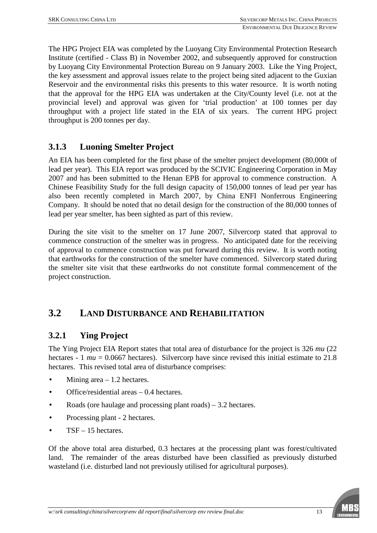The HPG Project EIA was completed by the Luoyang City Environmental Protection Research Institute (certified - Class B) in November 2002, and subsequently approved for construction by Luoyang City Environmental Protection Bureau on 9 January 2003. Like the Ying Project, the key assessment and approval issues relate to the project being sited adjacent to the Guxian Reservoir and the environmental risks this presents to this water resource. It is worth noting that the approval for the HPG EIA was undertaken at the City/County level (i.e. not at the provincial level) and approval was given for 'trial production' at 100 tonnes per day throughput with a project life stated in the EIA of six years. The current HPG project throughput is 200 tonnes per day.

### **3.1.3 Luoning Smelter Project**

An EIA has been completed for the first phase of the smelter project development (80,000t of lead per year). This EIA report was produced by the SCIVIC Engineering Corporation in May 2007 and has been submitted to the Henan EPB for approval to commence construction. A Chinese Feasibility Study for the full design capacity of 150,000 tonnes of lead per year has also been recently completed in March 2007, by China ENFI Nonferrous Engineering Company. It should be noted that no detail design for the construction of the 80,000 tonnes of lead per year smelter, has been sighted as part of this review.

During the site visit to the smelter on 17 June 2007, Silvercorp stated that approval to commence construction of the smelter was in progress. No anticipated date for the receiving of approval to commence construction was put forward during this review. It is worth noting that earthworks for the construction of the smelter have commenced. Silvercorp stated during the smelter site visit that these earthworks do not constitute formal commencement of the project construction.

## **3.2 LAND DISTURBANCE AND REHABILITATION**

#### **3.2.1 Ying Project**

The Ying Project EIA Report states that total area of disturbance for the project is 326 *mu* (22 hectares - 1 *mu* = 0.0667 hectares). Silvercorp have since revised this initial estimate to 21.8 hectares. This revised total area of disturbance comprises:

- Mining area  $-1.2$  hectares.
- Office/residential areas  $-0.4$  hectares.
- Roads (ore haulage and processing plant roads)  $-3.2$  hectares.
- Processing plant 2 hectares.
- TSF 15 hectares.

Of the above total area disturbed, 0.3 hectares at the processing plant was forest/cultivated land. The remainder of the areas disturbed have been classified as previously disturbed wasteland (i.e. disturbed land not previously utilised for agricultural purposes).

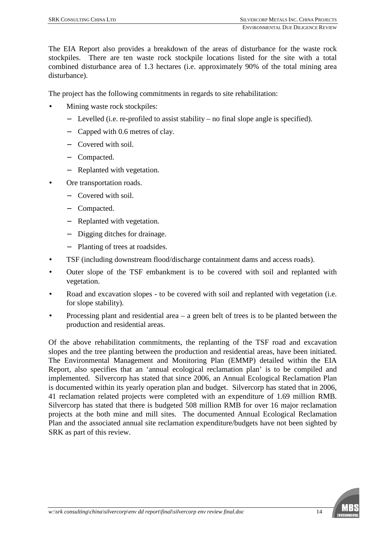The EIA Report also provides a breakdown of the areas of disturbance for the waste rock stockpiles. There are ten waste rock stockpile locations listed for the site with a total combined disturbance area of 1.3 hectares (i.e. approximately 90% of the total mining area disturbance).

The project has the following commitments in regards to site rehabilitation:

- Mining waste rock stockpiles:
	- − Levelled (i.e. re-profiled to assist stability no final slope angle is specified).
	- − Capped with 0.6 metres of clay.
	- − Covered with soil.
	- − Compacted.
	- − Replanted with vegetation.
- Ore transportation roads.
	- − Covered with soil.
	- − Compacted.
	- − Replanted with vegetation.
	- − Digging ditches for drainage.
	- − Planting of trees at roadsides.
- TSF (including downstream flood/discharge containment dams and access roads).
- Outer slope of the TSF embankment is to be covered with soil and replanted with vegetation.
- Road and excavation slopes to be covered with soil and replanted with vegetation (i.e. for slope stability).
- Processing plant and residential area  $-$  a green belt of trees is to be planted between the production and residential areas.

Of the above rehabilitation commitments, the replanting of the TSF road and excavation slopes and the tree planting between the production and residential areas, have been initiated. The Environmental Management and Monitoring Plan (EMMP) detailed within the EIA Report, also specifies that an 'annual ecological reclamation plan' is to be compiled and implemented. Silvercorp has stated that since 2006, an Annual Ecological Reclamation Plan is documented within its yearly operation plan and budget. Silvercorp has stated that in 2006, 41 reclamation related projects were completed with an expenditure of 1.69 million RMB. Silvercorp has stated that there is budgeted 508 million RMB for over 16 major reclamation projects at the both mine and mill sites. The documented Annual Ecological Reclamation Plan and the associated annual site reclamation expenditure/budgets have not been sighted by SRK as part of this review.

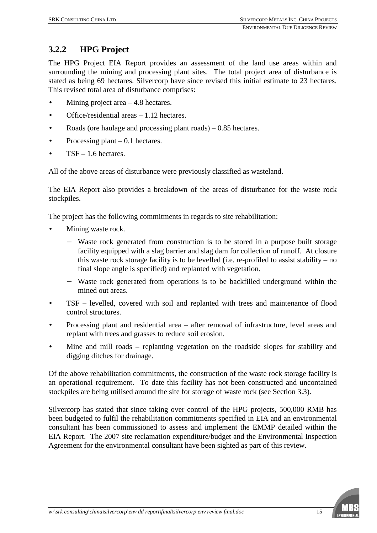## **3.2.2 HPG Project**

The HPG Project EIA Report provides an assessment of the land use areas within and surrounding the mining and processing plant sites. The total project area of disturbance is stated as being 69 hectares. Silvercorp have since revised this initial estimate to 23 hectares. This revised total area of disturbance comprises:

- Mining project area  $-4.8$  hectares.
- Office/residential areas 1.12 hectares.
- Roads (ore haulage and processing plant roads)  $-0.85$  hectares.
- Processing plant  $-0.1$  hectares.
- $TSF 1.6$  hectares.

All of the above areas of disturbance were previously classified as wasteland.

The EIA Report also provides a breakdown of the areas of disturbance for the waste rock stockpiles.

The project has the following commitments in regards to site rehabilitation:

- Mining waste rock.
	- − Waste rock generated from construction is to be stored in a purpose built storage facility equipped with a slag barrier and slag dam for collection of runoff. At closure this waste rock storage facility is to be levelled (i.e. re-profiled to assist stability – no final slope angle is specified) and replanted with vegetation.
	- − Waste rock generated from operations is to be backfilled underground within the mined out areas.
- TSF levelled, covered with soil and replanted with trees and maintenance of flood control structures.
- Processing plant and residential area after removal of infrastructure, level areas and replant with trees and grasses to reduce soil erosion.
- Mine and mill roads replanting vegetation on the roadside slopes for stability and digging ditches for drainage.

Of the above rehabilitation commitments, the construction of the waste rock storage facility is an operational requirement. To date this facility has not been constructed and uncontained stockpiles are being utilised around the site for storage of waste rock (see Section 3.3).

Silvercorp has stated that since taking over control of the HPG projects, 500,000 RMB has been budgeted to fulfil the rehabilitation commitments specified in EIA and an environmental consultant has been commissioned to assess and implement the EMMP detailed within the EIA Report. The 2007 site reclamation expenditure/budget and the Environmental Inspection Agreement for the environmental consultant have been sighted as part of this review.

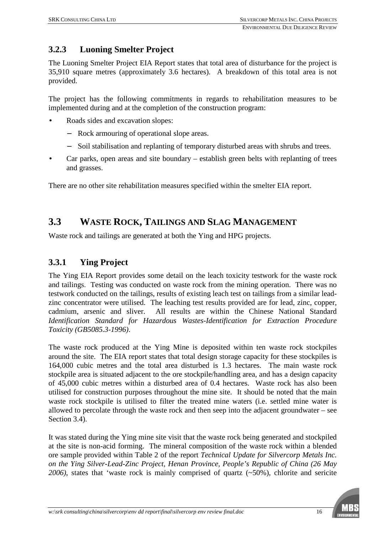## **3.2.3 Luoning Smelter Project**

The Luoning Smelter Project EIA Report states that total area of disturbance for the project is 35,910 square metres (approximately 3.6 hectares). A breakdown of this total area is not provided.

The project has the following commitments in regards to rehabilitation measures to be implemented during and at the completion of the construction program:

- Roads sides and excavation slopes:
	- − Rock armouring of operational slope areas.
	- − Soil stabilisation and replanting of temporary disturbed areas with shrubs and trees.
- Car parks, open areas and site boundary establish green belts with replanting of trees and grasses.

There are no other site rehabilitation measures specified within the smelter EIA report.

## **3.3 WASTE ROCK, TAILINGS AND SLAG MANAGEMENT**

Waste rock and tailings are generated at both the Ying and HPG projects.

### **3.3.1 Ying Project**

The Ying EIA Report provides some detail on the leach toxicity testwork for the waste rock and tailings. Testing was conducted on waste rock from the mining operation. There was no testwork conducted on the tailings, results of existing leach test on tailings from a similar leadzinc concentrator were utilised. The leaching test results provided are for lead, zinc, copper, cadmium, arsenic and sliver. All results are within the Chinese National Standard *Identification Standard for Hazardous Wastes-Identification for Extraction Procedure Toxicity (GB5085.3-1996)*.

The waste rock produced at the Ying Mine is deposited within ten waste rock stockpiles around the site. The EIA report states that total design storage capacity for these stockpiles is 164,000 cubic metres and the total area disturbed is 1.3 hectares. The main waste rock stockpile area is situated adjacent to the ore stockpile/handling area, and has a design capacity of 45,000 cubic metres within a disturbed area of 0.4 hectares. Waste rock has also been utilised for construction purposes throughout the mine site. It should be noted that the main waste rock stockpile is utilised to filter the treated mine waters (i.e. settled mine water is allowed to percolate through the waste rock and then seep into the adjacent groundwater – see Section 3.4).

It was stated during the Ying mine site visit that the waste rock being generated and stockpiled at the site is non-acid forming. The mineral composition of the waste rock within a blended ore sample provided within Table 2 of the report *Technical Update for Silvercorp Metals Inc. on the Ying Silver-Lead-Zinc Project, Henan Province, People's Republic of China (26 May 2006)*, states that 'waste rock is mainly comprised of quartz (~50%), chlorite and sericite

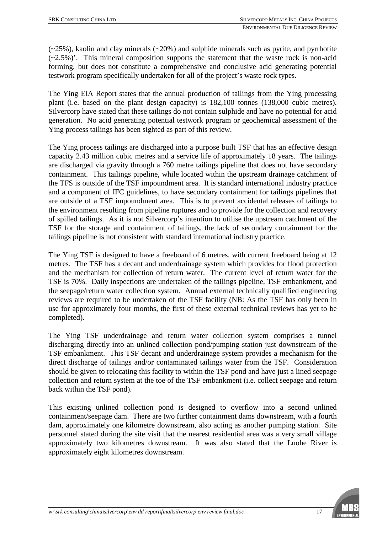$(\sim 25\%)$ , kaolin and clay minerals  $(\sim 20\%)$  and sulphide minerals such as pyrite, and pyrrhotite  $(-2.5\%)$ . This mineral composition supports the statement that the waste rock is non-acid forming, but does not constitute a comprehensive and conclusive acid generating potential testwork program specifically undertaken for all of the project's waste rock types.

The Ying EIA Report states that the annual production of tailings from the Ying processing plant (i.e. based on the plant design capacity) is 182,100 tonnes (138,000 cubic metres). Silvercorp have stated that these tailings do not contain sulphide and have no potential for acid generation. No acid generating potential testwork program or geochemical assessment of the Ying process tailings has been sighted as part of this review.

The Ying process tailings are discharged into a purpose built TSF that has an effective design capacity 2.43 million cubic metres and a service life of approximately 18 years. The tailings are discharged via gravity through a 760 metre tailings pipeline that does not have secondary containment. This tailings pipeline, while located within the upstream drainage catchment of the TFS is outside of the TSF impoundment area. It is standard international industry practice and a component of IFC guidelines, to have secondary containment for tailings pipelines that are outside of a TSF impoundment area. This is to prevent accidental releases of tailings to the environment resulting from pipeline ruptures and to provide for the collection and recovery of spilled tailings. As it is not Silvercorp's intention to utilise the upstream catchment of the TSF for the storage and containment of tailings, the lack of secondary containment for the tailings pipeline is not consistent with standard international industry practice.

The Ying TSF is designed to have a freeboard of 6 metres, with current freeboard being at 12 metres. The TSF has a decant and underdrainage system which provides for flood protection and the mechanism for collection of return water. The current level of return water for the TSF is 70%. Daily inspections are undertaken of the tailings pipeline, TSF embankment, and the seepage/return water collection system. Annual external technically qualified engineering reviews are required to be undertaken of the TSF facility (NB: As the TSF has only been in use for approximately four months, the first of these external technical reviews has yet to be completed).

The Ying TSF underdrainage and return water collection system comprises a tunnel discharging directly into an unlined collection pond/pumping station just downstream of the TSF embankment. This TSF decant and underdrainage system provides a mechanism for the direct discharge of tailings and/or contaminated tailings water from the TSF. Consideration should be given to relocating this facility to within the TSF pond and have just a lined seepage collection and return system at the toe of the TSF embankment (i.e. collect seepage and return back within the TSF pond).

This existing unlined collection pond is designed to overflow into a second unlined containment/seepage dam. There are two further containment dams downstream, with a fourth dam, approximately one kilometre downstream, also acting as another pumping station. Site personnel stated during the site visit that the nearest residential area was a very small village approximately two kilometres downstream. It was also stated that the Luohe River is approximately eight kilometres downstream.

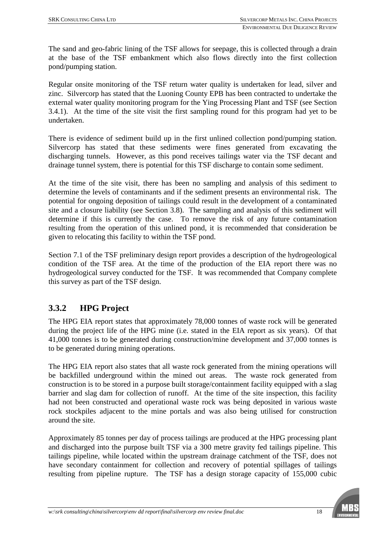The sand and geo-fabric lining of the TSF allows for seepage, this is collected through a drain at the base of the TSF embankment which also flows directly into the first collection pond/pumping station.

Regular onsite monitoring of the TSF return water quality is undertaken for lead, silver and zinc. Silvercorp has stated that the Luoning County EPB has been contracted to undertake the external water quality monitoring program for the Ying Processing Plant and TSF (see Section 3.4.1). At the time of the site visit the first sampling round for this program had yet to be undertaken.

There is evidence of sediment build up in the first unlined collection pond/pumping station. Silvercorp has stated that these sediments were fines generated from excavating the discharging tunnels. However, as this pond receives tailings water via the TSF decant and drainage tunnel system, there is potential for this TSF discharge to contain some sediment.

At the time of the site visit, there has been no sampling and analysis of this sediment to determine the levels of contaminants and if the sediment presents an environmental risk. The potential for ongoing deposition of tailings could result in the development of a contaminated site and a closure liability (see Section 3.8). The sampling and analysis of this sediment will determine if this is currently the case. To remove the risk of any future contamination resulting from the operation of this unlined pond, it is recommended that consideration be given to relocating this facility to within the TSF pond.

Section 7.1 of the TSF preliminary design report provides a description of the hydrogeological condition of the TSF area. At the time of the production of the EIA report there was no hydrogeological survey conducted for the TSF. It was recommended that Company complete this survey as part of the TSF design.

## **3.3.2 HPG Project**

The HPG EIA report states that approximately 78,000 tonnes of waste rock will be generated during the project life of the HPG mine (i.e. stated in the EIA report as six years). Of that 41,000 tonnes is to be generated during construction/mine development and 37,000 tonnes is to be generated during mining operations.

The HPG EIA report also states that all waste rock generated from the mining operations will be backfilled underground within the mined out areas. The waste rock generated from construction is to be stored in a purpose built storage/containment facility equipped with a slag barrier and slag dam for collection of runoff. At the time of the site inspection, this facility had not been constructed and operational waste rock was being deposited in various waste rock stockpiles adjacent to the mine portals and was also being utilised for construction around the site.

Approximately 85 tonnes per day of process tailings are produced at the HPG processing plant and discharged into the purpose built TSF via a 300 metre gravity fed tailings pipeline. This tailings pipeline, while located within the upstream drainage catchment of the TSF, does not have secondary containment for collection and recovery of potential spillages of tailings resulting from pipeline rupture. The TSF has a design storage capacity of 155,000 cubic

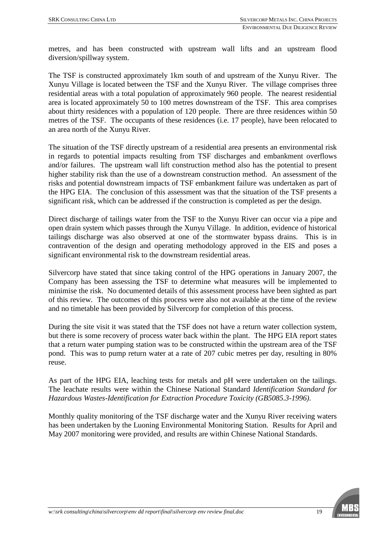metres, and has been constructed with upstream wall lifts and an upstream flood diversion/spillway system.

The TSF is constructed approximately 1km south of and upstream of the Xunyu River. The Xunyu Village is located between the TSF and the Xunyu River. The village comprises three residential areas with a total population of approximately 960 people. The nearest residential area is located approximately 50 to 100 metres downstream of the TSF. This area comprises about thirty residences with a population of 120 people. There are three residences within 50 metres of the TSF. The occupants of these residences (i.e. 17 people), have been relocated to an area north of the Xunyu River.

The situation of the TSF directly upstream of a residential area presents an environmental risk in regards to potential impacts resulting from TSF discharges and embankment overflows and/or failures. The upstream wall lift construction method also has the potential to present higher stability risk than the use of a downstream construction method. An assessment of the risks and potential downstream impacts of TSF embankment failure was undertaken as part of the HPG EIA. The conclusion of this assessment was that the situation of the TSF presents a significant risk, which can be addressed if the construction is completed as per the design.

Direct discharge of tailings water from the TSF to the Xunyu River can occur via a pipe and open drain system which passes through the Xunyu Village. In addition, evidence of historical tailings discharge was also observed at one of the stormwater bypass drains. This is in contravention of the design and operating methodology approved in the EIS and poses a significant environmental risk to the downstream residential areas.

Silvercorp have stated that since taking control of the HPG operations in January 2007, the Company has been assessing the TSF to determine what measures will be implemented to minimise the risk. No documented details of this assessment process have been sighted as part of this review. The outcomes of this process were also not available at the time of the review and no timetable has been provided by Silvercorp for completion of this process.

During the site visit it was stated that the TSF does not have a return water collection system, but there is some recovery of process water back within the plant. The HPG EIA report states that a return water pumping station was to be constructed within the upstream area of the TSF pond. This was to pump return water at a rate of 207 cubic metres per day, resulting in 80% reuse.

As part of the HPG EIA, leaching tests for metals and pH were undertaken on the tailings. The leachate results were within the Chinese National Standard *Identification Standard for Hazardous Wastes-Identification for Extraction Procedure Toxicity (GB5085.3-1996)*.

Monthly quality monitoring of the TSF discharge water and the Xunyu River receiving waters has been undertaken by the Luoning Environmental Monitoring Station. Results for April and May 2007 monitoring were provided, and results are within Chinese National Standards.

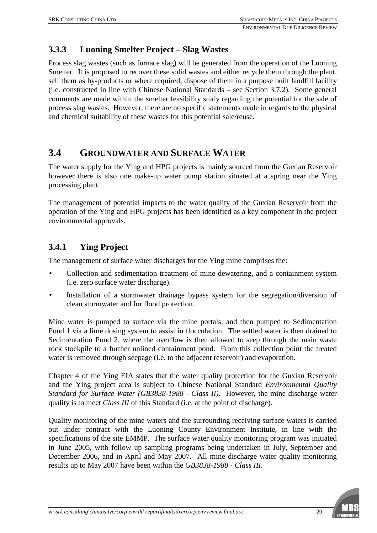## **3.3.3 Luoning Smelter Project – Slag Wastes**

Process slag wastes (such as furnace slag) will be generated from the operation of the Luoning Smelter. It is proposed to recover these solid wastes and either recycle them through the plant, sell them as by-products or where required, dispose of them in a purpose built landfill facility (i.e. constructed in line with Chinese National Standards – see Section 3.7.2). Some general comments are made within the smelter feasibility study regarding the potential for the sale of process slag wastes. However, there are no specific statements made in regards to the physical and chemical suitability of these wastes for this potential sale/reuse.

## **3.4 GROUNDWATER AND SURFACE WATER**

The water supply for the Ying and HPG projects is mainly sourced from the Guxian Reservoir however there is also one make-up water pump station situated at a spring near the Ying processing plant.

The management of potential impacts to the water quality of the Guxian Reservoir from the operation of the Ying and HPG projects has been identified as a key component in the project environmental approvals.

## **3.4.1 Ying Project**

The management of surface water discharges for the Ying mine comprises the:

- Collection and sedimentation treatment of mine dewatering, and a containment system (i.e. zero surface water discharge).
- Installation of a stormwater drainage bypass system for the segregation/diversion of clean stormwater and for flood protection.

Mine water is pumped to surface via the mine portals, and then pumped to Sedimentation Pond 1 via a lime dosing system to assist in flocculation. The settled water is then drained to Sedimentation Pond 2, where the overflow is then allowed to seep through the main waste rock stockpile to a further unlined containment pond. From this collection point the treated water is removed through seepage (i.e. to the adjacent reservoir) and evaporation.

Chapter 4 of the Ying EIA states that the water quality protection for the Guxian Reservoir and the Ying project area is subject to Chinese National Standard *Environmental Quality Standard for Surface Water (GB3838-1988 - Class II)*. However, the mine discharge water quality is to meet *Class III* of this Standard (i.e. at the point of discharge).

Quality monitoring of the mine waters and the surrounding receiving surface waters is carried out under contract with the Luoning County Environment Institute, in line with the specifications of the site EMMP. The surface water quality monitoring program was initiated in June 2005, with follow up sampling programs being undertaken in July, September and December 2006, and in April and May 2007. All mine discharge water quality monitoring results up to May 2007 have been within the *GB3838-1988 - Class III*.

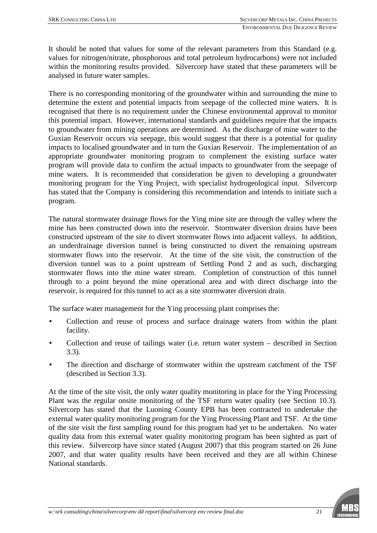It should be noted that values for some of the relevant parameters from this Standard (e.g. values for nitrogen/nitrate, phosphorous and total petroleum hydrocarbons) were not included within the monitoring results provided. Silvercorp have stated that these parameters will be analysed in future water samples.

There is no corresponding monitoring of the groundwater within and surrounding the mine to determine the extent and potential impacts from seepage of the collected mine waters. It is recognised that there is no requirement under the Chinese environmental approval to monitor this potential impact. However, international standards and guidelines require that the impacts to groundwater from mining operations are determined. As the discharge of mine water to the Guxian Reservoir occurs via seepage, this would suggest that there is a potential for quality impacts to localised groundwater and in turn the Guxian Reservoir. The implementation of an appropriate groundwater monitoring program to complement the existing surface water program will provide data to confirm the actual impacts to groundwater from the seepage of mine waters. It is recommended that consideration be given to developing a groundwater monitoring program for the Ying Project, with specialist hydrogeological input. Silvercorp has stated that the Company is considering this recommendation and intends to initiate such a program.

The natural stormwater drainage flows for the Ying mine site are through the valley where the mine has been constructed down into the reservoir. Stormwater diversion drains have been constructed upstream of the site to divert stormwater flows into adjacent valleys. In addition, an underdrainage diversion tunnel is being constructed to divert the remaining upstream stormwater flows into the reservoir. At the time of the site visit, the construction of the diversion tunnel was to a point upstream of Settling Pond 2 and as such, discharging stormwater flows into the mine water stream. Completion of construction of this tunnel through to a point beyond the mine operational area and with direct discharge into the reservoir, is required for this tunnel to act as a site stormwater diversion drain.

The surface water management for the Ying processing plant comprises the:

- Collection and reuse of process and surface drainage waters from within the plant facility.
- Collection and reuse of tailings water (i.e. return water system described in Section 3.3).
- The direction and discharge of stormwater within the upstream catchment of the TSF (described in Section 3.3).

At the time of the site visit, the only water quality monitoring in place for the Ying Processing Plant was the regular onsite monitoring of the TSF return water quality (see Section 10.3). Silvercorp has stated that the Luoning County EPB has been contracted to undertake the external water quality monitoring program for the Ying Processing Plant and TSF. At the time of the site visit the first sampling round for this program had yet to be undertaken. No water quality data from this external water quality monitoring program has been sighted as part of this review. Silvercorp have since stated (August 2007) that this program started on 26 June 2007, and that water quality results have been received and they are all within Chinese National standards.

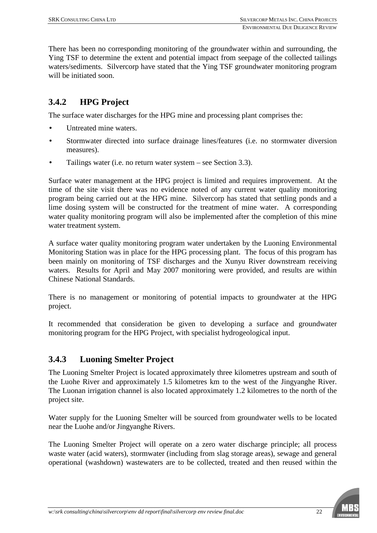There has been no corresponding monitoring of the groundwater within and surrounding, the Ying TSF to determine the extent and potential impact from seepage of the collected tailings waters/sediments. Silvercorp have stated that the Ying TSF groundwater monitoring program will be initiated soon.

## **3.4.2 HPG Project**

The surface water discharges for the HPG mine and processing plant comprises the:

- Untreated mine waters.
- Stormwater directed into surface drainage lines/features (i.e. no stormwater diversion measures).
- Tailings water (i.e. no return water system see Section 3.3).

Surface water management at the HPG project is limited and requires improvement. At the time of the site visit there was no evidence noted of any current water quality monitoring program being carried out at the HPG mine. Silvercorp has stated that settling ponds and a lime dosing system will be constructed for the treatment of mine water. A corresponding water quality monitoring program will also be implemented after the completion of this mine water treatment system.

A surface water quality monitoring program water undertaken by the Luoning Environmental Monitoring Station was in place for the HPG processing plant. The focus of this program has been mainly on monitoring of TSF discharges and the Xunyu River downstream receiving waters. Results for April and May 2007 monitoring were provided, and results are within Chinese National Standards.

There is no management or monitoring of potential impacts to groundwater at the HPG project.

It recommended that consideration be given to developing a surface and groundwater monitoring program for the HPG Project, with specialist hydrogeological input.

### **3.4.3 Luoning Smelter Project**

The Luoning Smelter Project is located approximately three kilometres upstream and south of the Luohe River and approximately 1.5 kilometres km to the west of the Jingyanghe River. The Luonan irrigation channel is also located approximately 1.2 kilometres to the north of the project site.

Water supply for the Luoning Smelter will be sourced from groundwater wells to be located near the Luohe and/or Jingyanghe Rivers.

The Luoning Smelter Project will operate on a zero water discharge principle; all process waste water (acid waters), stormwater (including from slag storage areas), sewage and general operational (washdown) wastewaters are to be collected, treated and then reused within the

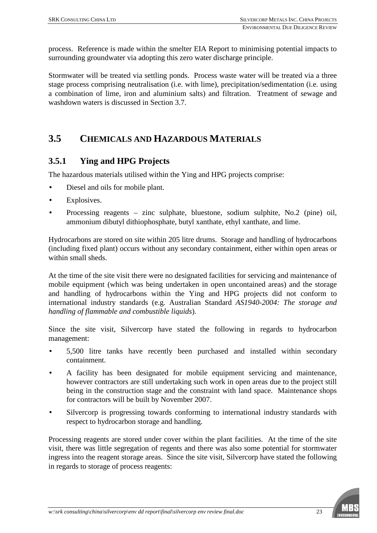process. Reference is made within the smelter EIA Report to minimising potential impacts to surrounding groundwater via adopting this zero water discharge principle.

Stormwater will be treated via settling ponds. Process waste water will be treated via a three stage process comprising neutralisation (i.e. with lime), precipitation/sedimentation (i.e. using a combination of lime, iron and aluminium salts) and filtration. Treatment of sewage and washdown waters is discussed in Section 3.7.

## **3.5 CHEMICALS AND HAZARDOUS MATERIALS**

### **3.5.1 Ying and HPG Projects**

The hazardous materials utilised within the Ying and HPG projects comprise:

- Diesel and oils for mobile plant.
- Explosives.
- Processing reagents zinc sulphate, bluestone, sodium sulphite, No.2 (pine) oil, ammonium dibutyl dithiophosphate, butyl xanthate, ethyl xanthate, and lime.

Hydrocarbons are stored on site within 205 litre drums. Storage and handling of hydrocarbons (including fixed plant) occurs without any secondary containment, either within open areas or within small sheds.

At the time of the site visit there were no designated facilities for servicing and maintenance of mobile equipment (which was being undertaken in open uncontained areas) and the storage and handling of hydrocarbons within the Ying and HPG projects did not conform to international industry standards (e.g. Australian Standard *AS1940-2004: The storage and handling of flammable and combustible liquids*).

Since the site visit, Silvercorp have stated the following in regards to hydrocarbon management:

- 5,500 litre tanks have recently been purchased and installed within secondary containment.
- A facility has been designated for mobile equipment servicing and maintenance, however contractors are still undertaking such work in open areas due to the project still being in the construction stage and the constraint with land space. Maintenance shops for contractors will be built by November 2007.
- Silvercorp is progressing towards conforming to international industry standards with respect to hydrocarbon storage and handling.

Processing reagents are stored under cover within the plant facilities. At the time of the site visit, there was little segregation of regents and there was also some potential for stormwater ingress into the reagent storage areas. Since the site visit, Silvercorp have stated the following in regards to storage of process reagents:

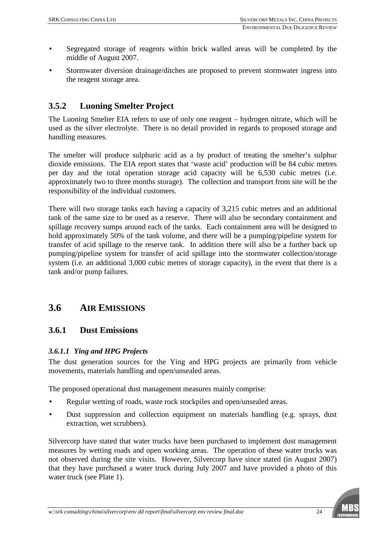- Segregated storage of reagents within brick walled areas will be completed by the middle of August 2007.
- Stormwater diversion drainage/ditches are proposed to prevent stormwater ingress into the reagent storage area.

### **3.5.2 Luoning Smelter Project**

The Luoning Smelter EIA refers to use of only one reagent – hydrogen nitrate, which will be used as the silver electrolyte. There is no detail provided in regards to proposed storage and handling measures.

The smelter will produce sulphuric acid as a by product of treating the smelter's sulphur dioxide emissions. The EIA report states that 'waste acid' production will be 84 cubic metres per day and the total operation storage acid capacity will be 6,530 cubic metres (i.e. approximately two to three months storage). The collection and transport from site will be the responsibility of the individual customers.

There will two storage tanks each having a capacity of 3,215 cubic metres and an additional tank of the same size to be used as a reserve. There will also be secondary containment and spillage recovery sumps around each of the tanks. Each containment area will be designed to hold approximately 50% of the tank volume, and there will be a pumping/pipeline system for transfer of acid spillage to the reserve tank. In addition there will also be a further back up pumping/pipeline system for transfer of acid spillage into the stormwater collection/storage system (i.e. an additional 3,000 cubic metres of storage capacity), in the event that there is a tank and/or pump failures.

## **3.6 AIR EMISSIONS**

#### **3.6.1 Dust Emissions**

#### *3.6.1.1 Ying and HPG Projects*

The dust generation sources for the Ying and HPG projects are primarily from vehicle movements, materials handling and open/unsealed areas.

The proposed operational dust management measures mainly comprise:

- Regular wetting of roads, waste rock stockpiles and open/unsealed areas.
- Dust suppression and collection equipment on materials handling (e.g. sprays, dust extraction, wet scrubbers).

Silvercorp have stated that water trucks have been purchased to implement dust management measures by wetting roads and open working areas. The operation of these water trucks was not observed during the site visits. However, Silvercorp have since stated (in August 2007) that they have purchased a water truck during July 2007 and have provided a photo of this water truck (see Plate 1).

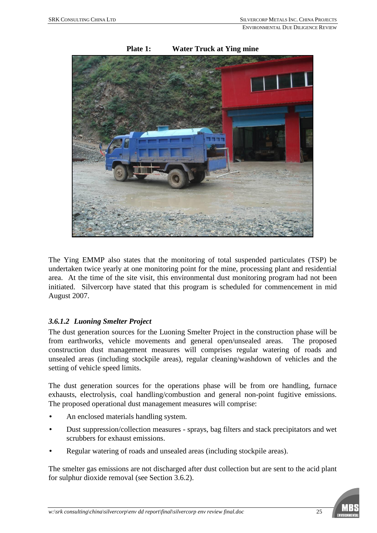

#### **Plate 1: Water Truck at Ying mine**

The Ying EMMP also states that the monitoring of total suspended particulates (TSP) be undertaken twice yearly at one monitoring point for the mine, processing plant and residential area. At the time of the site visit, this environmental dust monitoring program had not been initiated. Silvercorp have stated that this program is scheduled for commencement in mid August 2007.

#### *3.6.1.2 Luoning Smelter Project*

The dust generation sources for the Luoning Smelter Project in the construction phase will be from earthworks, vehicle movements and general open/unsealed areas. The proposed construction dust management measures will comprises regular watering of roads and unsealed areas (including stockpile areas), regular cleaning/washdown of vehicles and the setting of vehicle speed limits.

The dust generation sources for the operations phase will be from ore handling, furnace exhausts, electrolysis, coal handling/combustion and general non-point fugitive emissions. The proposed operational dust management measures will comprise:

- An enclosed materials handling system.
- Dust suppression/collection measures sprays, bag filters and stack precipitators and wet scrubbers for exhaust emissions.
- Regular watering of roads and unsealed areas (including stockpile areas).

The smelter gas emissions are not discharged after dust collection but are sent to the acid plant for sulphur dioxide removal (see Section 3.6.2).

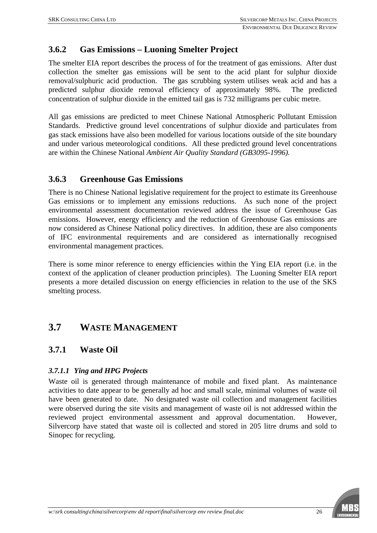## **3.6.2 Gas Emissions – Luoning Smelter Project**

The smelter EIA report describes the process of for the treatment of gas emissions. After dust collection the smelter gas emissions will be sent to the acid plant for sulphur dioxide removal/sulphuric acid production. The gas scrubbing system utilises weak acid and has a predicted sulphur dioxide removal efficiency of approximately 98%. The predicted concentration of sulphur dioxide in the emitted tail gas is 732 milligrams per cubic metre.

All gas emissions are predicted to meet Chinese National Atmospheric Pollutant Emission Standards. Predictive ground level concentrations of sulphur dioxide and particulates from gas stack emissions have also been modelled for various locations outside of the site boundary and under various meteorological conditions. All these predicted ground level concentrations are within the Chinese National *Ambient Air Quality Standard (GB3095-1996).*

#### **3.6.3 Greenhouse Gas Emissions**

There is no Chinese National legislative requirement for the project to estimate its Greenhouse Gas emissions or to implement any emissions reductions. As such none of the project environmental assessment documentation reviewed address the issue of Greenhouse Gas emissions. However, energy efficiency and the reduction of Greenhouse Gas emissions are now considered as Chinese National policy directives. In addition, these are also components of IFC environmental requirements and are considered as internationally recognised environmental management practices.

There is some minor reference to energy efficiencies within the Ying EIA report (i.e. in the context of the application of cleaner production principles). The Luoning Smelter EIA report presents a more detailed discussion on energy efficiencies in relation to the use of the SKS smelting process.

## **3.7 WASTE MANAGEMENT**

#### **3.7.1 Waste Oil**

#### *3.7.1.1 Ying and HPG Projects*

Waste oil is generated through maintenance of mobile and fixed plant. As maintenance activities to date appear to be generally ad hoc and small scale, minimal volumes of waste oil have been generated to date. No designated waste oil collection and management facilities were observed during the site visits and management of waste oil is not addressed within the reviewed project environmental assessment and approval documentation. However, Silvercorp have stated that waste oil is collected and stored in 205 litre drums and sold to Sinopec for recycling.

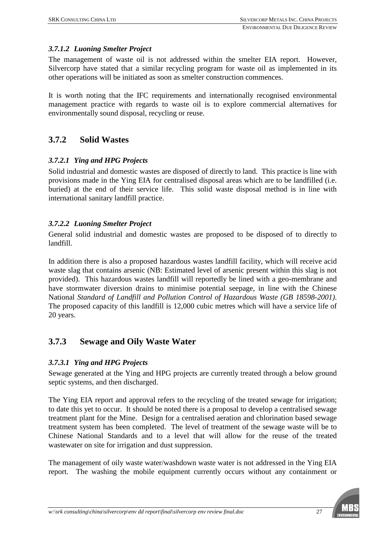#### *3.7.1.2 Luoning Smelter Project*

The management of waste oil is not addressed within the smelter EIA report. However, Silvercorp have stated that a similar recycling program for waste oil as implemented in its other operations will be initiated as soon as smelter construction commences.

It is worth noting that the IFC requirements and internationally recognised environmental management practice with regards to waste oil is to explore commercial alternatives for environmentally sound disposal, recycling or reuse.

#### **3.7.2 Solid Wastes**

#### *3.7.2.1 Ying and HPG Projects*

Solid industrial and domestic wastes are disposed of directly to land. This practice is line with provisions made in the Ying EIA for centralised disposal areas which are to be landfilled (i.e. buried) at the end of their service life. This solid waste disposal method is in line with international sanitary landfill practice.

#### *3.7.2.2 Luoning Smelter Project*

General solid industrial and domestic wastes are proposed to be disposed of to directly to landfill.

In addition there is also a proposed hazardous wastes landfill facility, which will receive acid waste slag that contains arsenic (NB: Estimated level of arsenic present within this slag is not provided). This hazardous wastes landfill will reportedly be lined with a geo-membrane and have stormwater diversion drains to minimise potential seepage, in line with the Chinese National *Standard of Landfill and Pollution Control of Hazardous Waste (GB 18598-2001)*. The proposed capacity of this landfill is 12,000 cubic metres which will have a service life of 20 years.

### **3.7.3 Sewage and Oily Waste Water**

#### *3.7.3.1 Ying and HPG Projects*

Sewage generated at the Ying and HPG projects are currently treated through a below ground septic systems, and then discharged.

The Ying EIA report and approval refers to the recycling of the treated sewage for irrigation; to date this yet to occur. It should be noted there is a proposal to develop a centralised sewage treatment plant for the Mine. Design for a centralised aeration and chlorination based sewage treatment system has been completed. The level of treatment of the sewage waste will be to Chinese National Standards and to a level that will allow for the reuse of the treated wastewater on site for irrigation and dust suppression.

The management of oily waste water/washdown waste water is not addressed in the Ying EIA report. The washing the mobile equipment currently occurs without any containment or

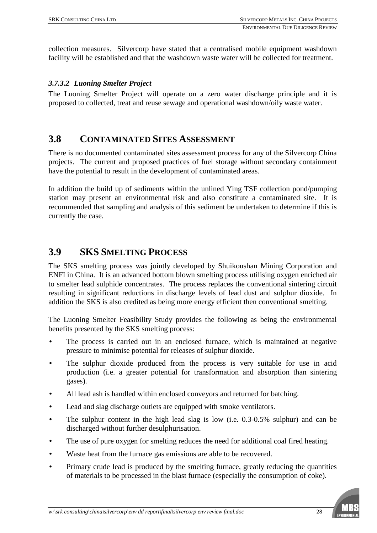collection measures. Silvercorp have stated that a centralised mobile equipment washdown facility will be established and that the washdown waste water will be collected for treatment.

#### *3.7.3.2 Luoning Smelter Project*

The Luoning Smelter Project will operate on a zero water discharge principle and it is proposed to collected, treat and reuse sewage and operational washdown/oily waste water.

## **3.8 CONTAMINATED SITES ASSESSMENT**

There is no documented contaminated sites assessment process for any of the Silvercorp China projects. The current and proposed practices of fuel storage without secondary containment have the potential to result in the development of contaminated areas.

In addition the build up of sediments within the unlined Ying TSF collection pond/pumping station may present an environmental risk and also constitute a contaminated site. It is recommended that sampling and analysis of this sediment be undertaken to determine if this is currently the case.

## **3.9 SKS SMELTING PROCESS**

The SKS smelting process was jointly developed by Shuikoushan Mining Corporation and ENFI in China. It is an advanced bottom blown smelting process utilising oxygen enriched air to smelter lead sulphide concentrates. The process replaces the conventional sintering circuit resulting in significant reductions in discharge levels of lead dust and sulphur dioxide. In addition the SKS is also credited as being more energy efficient then conventional smelting.

The Luoning Smelter Feasibility Study provides the following as being the environmental benefits presented by the SKS smelting process:

- The process is carried out in an enclosed furnace, which is maintained at negative pressure to minimise potential for releases of sulphur dioxide.
- The sulphur dioxide produced from the process is very suitable for use in acid production (i.e. a greater potential for transformation and absorption than sintering gases).
- All lead ash is handled within enclosed conveyors and returned for batching.
- Lead and slag discharge outlets are equipped with smoke ventilators.
- The sulphur content in the high lead slag is low (i.e. 0.3-0.5% sulphur) and can be discharged without further desulphurisation.
- The use of pure oxygen for smelting reduces the need for additional coal fired heating.
- Waste heat from the furnace gas emissions are able to be recovered.
- Primary crude lead is produced by the smelting furnace, greatly reducing the quantities of materials to be processed in the blast furnace (especially the consumption of coke).

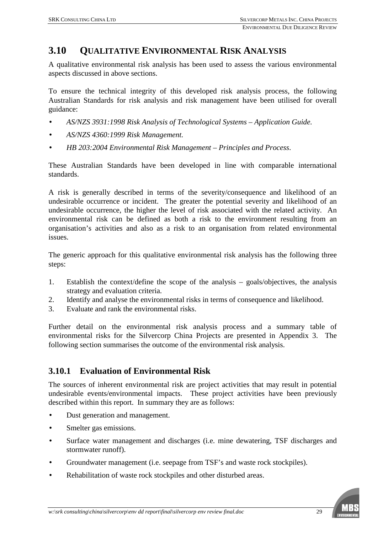## **3.10 QUALITATIVE ENVIRONMENTAL RISK ANALYSIS**

A qualitative environmental risk analysis has been used to assess the various environmental aspects discussed in above sections.

To ensure the technical integrity of this developed risk analysis process, the following Australian Standards for risk analysis and risk management have been utilised for overall guidance:

- *AS/NZS 3931:1998 Risk Analysis of Technological Systems Application Guide.*
- *AS/NZS 4360:1999 Risk Management.*
- *HB 203:2004 Environmental Risk Management Principles and Process*.

These Australian Standards have been developed in line with comparable international standards.

A risk is generally described in terms of the severity/consequence and likelihood of an undesirable occurrence or incident. The greater the potential severity and likelihood of an undesirable occurrence, the higher the level of risk associated with the related activity. An environmental risk can be defined as both a risk to the environment resulting from an organisation's activities and also as a risk to an organisation from related environmental issues.

The generic approach for this qualitative environmental risk analysis has the following three steps:

- 1. Establish the context/define the scope of the analysis goals/objectives, the analysis strategy and evaluation criteria.
- 2. Identify and analyse the environmental risks in terms of consequence and likelihood.
- 3. Evaluate and rank the environmental risks.

Further detail on the environmental risk analysis process and a summary table of environmental risks for the Silvercorp China Projects are presented in Appendix 3. The following section summarises the outcome of the environmental risk analysis.

### **3.10.1 Evaluation of Environmental Risk**

The sources of inherent environmental risk are project activities that may result in potential undesirable events/environmental impacts. These project activities have been previously described within this report. In summary they are as follows:

- Dust generation and management.
- Smelter gas emissions.
- Surface water management and discharges (i.e. mine dewatering, TSF discharges and stormwater runoff).
- Groundwater management (i.e. seepage from TSF's and waste rock stockpiles).
- Rehabilitation of waste rock stockpiles and other disturbed areas.

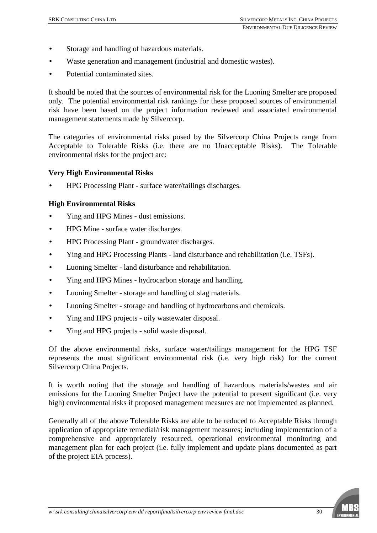- Storage and handling of hazardous materials.
- Waste generation and management (industrial and domestic wastes).
- Potential contaminated sites.

It should be noted that the sources of environmental risk for the Luoning Smelter are proposed only. The potential environmental risk rankings for these proposed sources of environmental risk have been based on the project information reviewed and associated environmental management statements made by Silvercorp.

The categories of environmental risks posed by the Silvercorp China Projects range from Acceptable to Tolerable Risks (i.e. there are no Unacceptable Risks). The Tolerable environmental risks for the project are:

#### **Very High Environmental Risks**

• HPG Processing Plant - surface water/tailings discharges.

#### **High Environmental Risks**

- Ying and HPG Mines dust emissions.
- HPG Mine surface water discharges.
- HPG Processing Plant groundwater discharges.
- Ying and HPG Processing Plants land disturbance and rehabilitation (i.e. TSFs).
- Luoning Smelter land disturbance and rehabilitation.
- Ying and HPG Mines hydrocarbon storage and handling.
- Luoning Smelter storage and handling of slag materials.
- Luoning Smelter storage and handling of hydrocarbons and chemicals.
- Ying and HPG projects oily wastewater disposal.
- Ying and HPG projects solid waste disposal.

Of the above environmental risks, surface water/tailings management for the HPG TSF represents the most significant environmental risk (i.e. very high risk) for the current Silvercorp China Projects.

It is worth noting that the storage and handling of hazardous materials/wastes and air emissions for the Luoning Smelter Project have the potential to present significant (i.e. very high) environmental risks if proposed management measures are not implemented as planned.

Generally all of the above Tolerable Risks are able to be reduced to Acceptable Risks through application of appropriate remedial/risk management measures; including implementation of a comprehensive and appropriately resourced, operational environmental monitoring and management plan for each project (i.e. fully implement and update plans documented as part of the project EIA process).

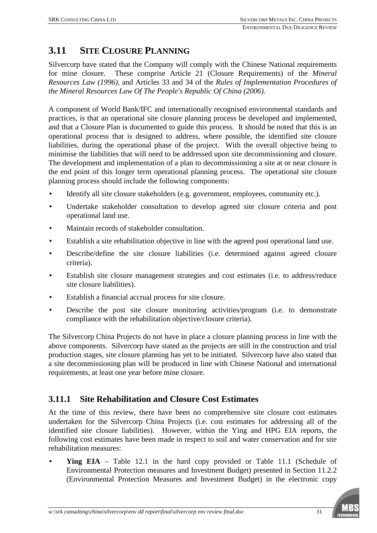## **3.11 SITE CLOSURE PLANNING**

Silvercorp have stated that the Company will comply with the Chinese National requirements for mine closure. These comprise Article 21 (Closure Requirements) of the *Mineral Resources Law (1996)*, and Articles 33 and 34 of the *Rules of Implementation Procedures of the Mineral Resources Law Of The People's Republic Of China (2006)*.

A component of World Bank/IFC and internationally recognised environmental standards and practices, is that an operational site closure planning process be developed and implemented, and that a Closure Plan is documented to guide this process. It should be noted that this is an operational process that is designed to address, where possible, the identified site closure liabilities, during the operational phase of the project. With the overall objective being to minimise the liabilities that will need to be addressed upon site decommissioning and closure. The development and implementation of a plan to decommissioning a site at or near closure is the end point of this longer term operational planning process. The operational site closure planning process should include the following components:

- Identify all site closure stakeholders (e.g. government, employees, community etc.).
- Undertake stakeholder consultation to develop agreed site closure criteria and post operational land use.
- Maintain records of stakeholder consultation.
- Establish a site rehabilitation objective in line with the agreed post operational land use.
- Describe/define the site closure liabilities (i.e. determined against agreed closure criteria).
- Establish site closure management strategies and cost estimates (i.e. to address/reduce site closure liabilities).
- Establish a financial accrual process for site closure.
- Describe the post site closure monitoring activities/program (i.e. to demonstrate compliance with the rehabilitation objective/closure criteria).

The Silvercorp China Projects do not have in place a closure planning process in line with the above components. Silvercorp have stated as the projects are still in the construction and trial production stages, site closure planning has yet to be initiated. Silvercorp have also stated that a site decommissioning plan will be produced in line with Chinese National and international requirements, at least one year before mine closure.

## **3.11.1 Site Rehabilitation and Closure Cost Estimates**

At the time of this review, there have been no comprehensive site closure cost estimates undertaken for the Silvercorp China Projects (i.e. cost estimates for addressing all of the identified site closure liabilities). However, within the Ying and HPG EIA reports, the following cost estimates have been made in respect to soil and water conservation and for site rehabilitation measures:

• **Ying EIA** – Table 12.1 in the hard copy provided or Table 11.1 (Schedule of Environmental Protection measures and Investment Budget) presented in Section 11.2.2 (Environmental Protection Measures and Investment Budget) in the electronic copy

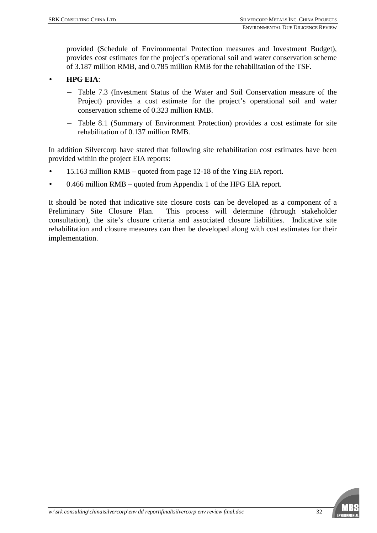provided (Schedule of Environmental Protection measures and Investment Budget), provides cost estimates for the project's operational soil and water conservation scheme of 3.187 million RMB, and 0.785 million RMB for the rehabilitation of the TSF.

#### • **HPG EIA**:

- Table 7.3 (Investment Status of the Water and Soil Conservation measure of the Project) provides a cost estimate for the project's operational soil and water conservation scheme of 0.323 million RMB.
- − Table 8.1 (Summary of Environment Protection) provides a cost estimate for site rehabilitation of 0.137 million RMB.

In addition Silvercorp have stated that following site rehabilitation cost estimates have been provided within the project EIA reports:

- 15.163 million RMB quoted from page 12-18 of the Ying EIA report.
- 0.466 million RMB quoted from Appendix 1 of the HPG EIA report.

It should be noted that indicative site closure costs can be developed as a component of a Preliminary Site Closure Plan. This process will determine (through stakeholder consultation), the site's closure criteria and associated closure liabilities. Indicative site rehabilitation and closure measures can then be developed along with cost estimates for their implementation.

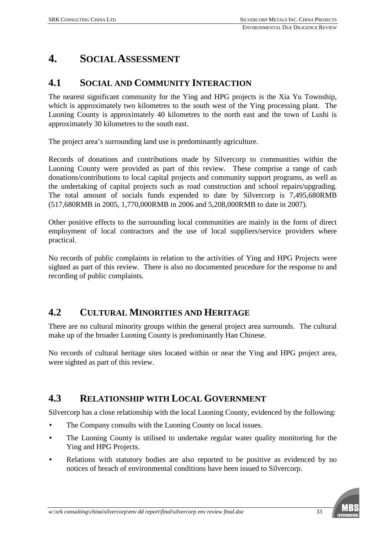## **4. SOCIAL ASSESSMENT**

## **4.1 SOCIAL AND COMMUNITY INTERACTION**

The nearest significant community for the Ying and HPG projects is the Xia Yu Township, which is approximately two kilometres to the south west of the Ying processing plant. The Luoning County is approximately 40 kilometres to the north east and the town of Lushi is approximately 30 kilometres to the south east.

The project area's surrounding land use is predominantly agriculture.

Records of donations and contributions made by Silvercorp to communities within the Luoning County were provided as part of this review. These comprise a range of cash donations/contributions to local capital projects and community support programs, as well as the undertaking of capital projects such as road construction and school repairs/upgrading. The total amount of socials funds expended to date by Silvercorp is 7,495,680RMB (517,680RMB in 2005, 1,770,000RMB in 2006 and 5,208,000RMB to date in 2007).

Other positive effects to the surrounding local communities are mainly in the form of direct employment of local contractors and the use of local suppliers/service providers where practical.

No records of public complaints in relation to the activities of Ying and HPG Projects were sighted as part of this review. There is also no documented procedure for the response to and recording of public complaints.

## **4.2 CULTURAL MINORITIES AND HERITAGE**

There are no cultural minority groups within the general project area surrounds. The cultural make up of the broader Luoning County is predominantly Han Chinese.

No records of cultural heritage sites located within or near the Ying and HPG project area, were sighted as part of this review.

## **4.3 RELATIONSHIP WITH LOCAL GOVERNMENT**

Silvercorp has a close relationship with the local Luoning County, evidenced by the following:

- The Company consults with the Luoning County on local issues.
- The Luoning County is utilised to undertake regular water quality monitoring for the Ying and HPG Projects.
- Relations with statutory bodies are also reported to be positive as evidenced by no notices of breach of environmental conditions have been issued to Silvercorp.

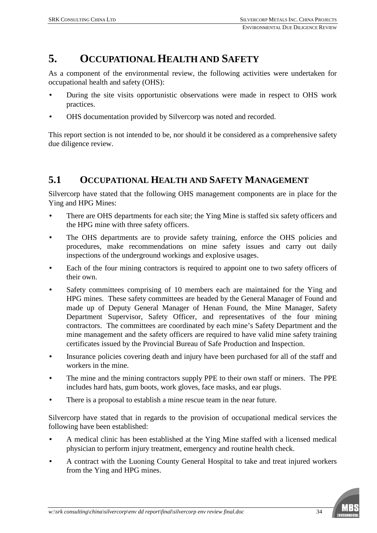## **5. OCCUPATIONAL HEALTH AND SAFETY**

As a component of the environmental review, the following activities were undertaken for occupational health and safety (OHS):

- During the site visits opportunistic observations were made in respect to OHS work practices.
- OHS documentation provided by Silvercorp was noted and recorded.

This report section is not intended to be, nor should it be considered as a comprehensive safety due diligence review.

### **5.1 OCCUPATIONAL HEALTH AND SAFETY MANAGEMENT**

Silvercorp have stated that the following OHS management components are in place for the Ying and HPG Mines:

- There are OHS departments for each site; the Ying Mine is staffed six safety officers and the HPG mine with three safety officers.
- The OHS departments are to provide safety training, enforce the OHS policies and procedures, make recommendations on mine safety issues and carry out daily inspections of the underground workings and explosive usages.
- Each of the four mining contractors is required to appoint one to two safety officers of their own.
- Safety committees comprising of 10 members each are maintained for the Ying and HPG mines. These safety committees are headed by the General Manager of Found and made up of Deputy General Manager of Henan Found, the Mine Manager, Safety Department Supervisor, Safety Officer, and representatives of the four mining contractors. The committees are coordinated by each mine's Safety Department and the mine management and the safety officers are required to have valid mine safety training certificates issued by the Provincial Bureau of Safe Production and Inspection.
- Insurance policies covering death and injury have been purchased for all of the staff and workers in the mine.
- The mine and the mining contractors supply PPE to their own staff or miners. The PPE includes hard hats, gum boots, work gloves, face masks, and ear plugs.
- There is a proposal to establish a mine rescue team in the near future.

Silvercorp have stated that in regards to the provision of occupational medical services the following have been established:

- A medical clinic has been established at the Ying Mine staffed with a licensed medical physician to perform injury treatment, emergency and routine health check.
- A contract with the Luoning County General Hospital to take and treat injured workers from the Ying and HPG mines.

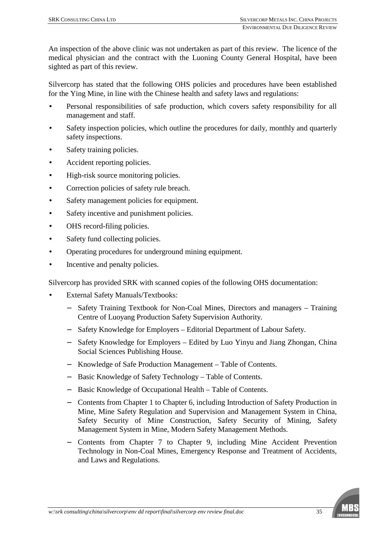An inspection of the above clinic was not undertaken as part of this review. The licence of the medical physician and the contract with the Luoning County General Hospital, have been sighted as part of this review.

Silvercorp has stated that the following OHS policies and procedures have been established for the Ying Mine, in line with the Chinese health and safety laws and regulations:

- Personal responsibilities of safe production, which covers safety responsibility for all management and staff.
- Safety inspection policies, which outline the procedures for daily, monthly and quarterly safety inspections.
- Safety training policies.
- Accident reporting policies.
- High-risk source monitoring policies.
- Correction policies of safety rule breach.
- Safety management policies for equipment.
- Safety incentive and punishment policies.
- OHS record-filing policies.
- Safety fund collecting policies.
- Operating procedures for underground mining equipment.
- Incentive and penalty policies.

Silvercorp has provided SRK with scanned copies of the following OHS documentation:

- External Safety Manuals/Textbooks:
	- − Safety Training Textbook for Non-Coal Mines, Directors and managers Training Centre of Luoyang Production Safety Supervision Authority.
	- − Safety Knowledge for Employers Editorial Department of Labour Safety.
	- − Safety Knowledge for Employers Edited by Luo Yinyu and Jiang Zhongan, China Social Sciences Publishing House.
	- − Knowledge of Safe Production Management Table of Contents.
	- − Basic Knowledge of Safety Technology Table of Contents.
	- − Basic Knowledge of Occupational Health Table of Contents.
	- − Contents from Chapter 1 to Chapter 6, including Introduction of Safety Production in Mine, Mine Safety Regulation and Supervision and Management System in China, Safety Security of Mine Construction, Safety Security of Mining, Safety Management System in Mine, Modern Safety Management Methods.
	- − Contents from Chapter 7 to Chapter 9, including Mine Accident Prevention Technology in Non-Coal Mines, Emergency Response and Treatment of Accidents, and Laws and Regulations.

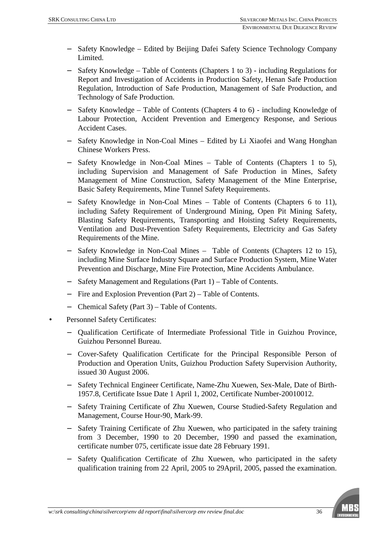- − Safety Knowledge Edited by Beijing Dafei Safety Science Technology Company Limited.
- Safety Knowledge Table of Contents (Chapters 1 to 3) including Regulations for Report and Investigation of Accidents in Production Safety, Henan Safe Production Regulation, Introduction of Safe Production, Management of Safe Production, and Technology of Safe Production.
- Safety Knowledge Table of Contents (Chapters 4 to 6) including Knowledge of Labour Protection, Accident Prevention and Emergency Response, and Serious Accident Cases.
- − Safety Knowledge in Non-Coal Mines Edited by Li Xiaofei and Wang Honghan Chinese Workers Press.
- − Safety Knowledge in Non-Coal Mines Table of Contents (Chapters 1 to 5), including Supervision and Management of Safe Production in Mines, Safety Management of Mine Construction, Safety Management of the Mine Enterprise, Basic Safety Requirements, Mine Tunnel Safety Requirements.
- Safety Knowledge in Non-Coal Mines Table of Contents (Chapters 6 to 11), including Safety Requirement of Underground Mining, Open Pit Mining Safety, Blasting Safety Requirements, Transporting and Hoisting Safety Requirements, Ventilation and Dust-Prevention Safety Requirements, Electricity and Gas Safety Requirements of the Mine.
- − Safety Knowledge in Non-Coal Mines Table of Contents (Chapters 12 to 15), including Mine Surface Industry Square and Surface Production System, Mine Water Prevention and Discharge, Mine Fire Protection, Mine Accidents Ambulance.
- − Safety Management and Regulations (Part 1) Table of Contents.
- − Fire and Explosion Prevention (Part 2) Table of Contents.
- − Chemical Safety (Part 3) Table of Contents.
- Personnel Safety Certificates:
	- − Qualification Certificate of Intermediate Professional Title in Guizhou Province, Guizhou Personnel Bureau.
	- − Cover-Safety Qualification Certificate for the Principal Responsible Person of Production and Operation Units, Guizhou Production Safety Supervision Authority, issued 30 August 2006.
	- − Safety Technical Engineer Certificate, Name-Zhu Xuewen, Sex-Male, Date of Birth-1957.8, Certificate Issue Date 1 April 1, 2002, Certificate Number-20010012.
	- − Safety Training Certificate of Zhu Xuewen, Course Studied-Safety Regulation and Management, Course Hour-90, Mark-99.
	- − Safety Training Certificate of Zhu Xuewen, who participated in the safety training from 3 December, 1990 to 20 December, 1990 and passed the examination, certificate number 075, certificate issue date 28 February 1991.
	- − Safety Qualification Certificate of Zhu Xuewen, who participated in the safety qualification training from 22 April, 2005 to 29April, 2005, passed the examination.

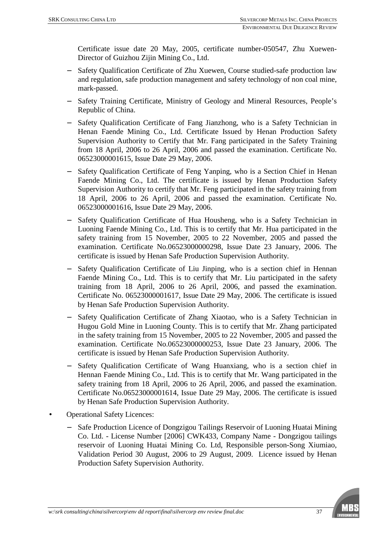Certificate issue date 20 May, 2005, certificate number-050547, Zhu Xuewen-Director of Guizhou Zijin Mining Co., Ltd.

- Safety Qualification Certificate of Zhu Xuewen, Course studied-safe production law and regulation, safe production management and safety technology of non coal mine, mark-passed.
- Safety Training Certificate, Ministry of Geology and Mineral Resources, People's Republic of China.
- − Safety Qualification Certificate of Fang Jianzhong, who is a Safety Technician in Henan Faende Mining Co., Ltd. Certificate Issued by Henan Production Safety Supervision Authority to Certify that Mr. Fang participated in the Safety Training from 18 April, 2006 to 26 April, 2006 and passed the examination. Certificate No. 06523000001615, Issue Date 29 May, 2006.
- Safety Qualification Certificate of Feng Yanping, who is a Section Chief in Henan Faende Mining Co., Ltd. The certificate is issued by Henan Production Safety Supervision Authority to certify that Mr. Feng participated in the safety training from 18 April, 2006 to 26 April, 2006 and passed the examination. Certificate No. 06523000001616, Issue Date 29 May, 2006.
- Safety Qualification Certificate of Hua Housheng, who is a Safety Technician in Luoning Faende Mining Co., Ltd. This is to certify that Mr. Hua participated in the safety training from 15 November, 2005 to 22 November, 2005 and passed the examination. Certificate No.06523000000298, Issue Date 23 January, 2006. The certificate is issued by Henan Safe Production Supervision Authority.
- Safety Qualification Certificate of Liu Jinping, who is a section chief in Hennan Faende Mining Co., Ltd. This is to certify that Mr. Liu participated in the safety training from 18 April, 2006 to 26 April, 2006, and passed the examination. Certificate No. 06523000001617, Issue Date 29 May, 2006. The certificate is issued by Henan Safe Production Supervision Authority.
- Safety Qualification Certificate of Zhang Xiaotao, who is a Safety Technician in Hugou Gold Mine in Luoning County. This is to certify that Mr. Zhang participated in the safety training from 15 November, 2005 to 22 November, 2005 and passed the examination. Certificate No.06523000000253, Issue Date 23 January, 2006. The certificate is issued by Henan Safe Production Supervision Authority.
- Safety Qualification Certificate of Wang Huanxiang, who is a section chief in Hennan Faende Mining Co., Ltd. This is to certify that Mr. Wang participated in the safety training from 18 April, 2006 to 26 April, 2006, and passed the examination. Certificate No.06523000001614, Issue Date 29 May, 2006. The certificate is issued by Henan Safe Production Supervision Authority.
- Operational Safety Licences:
	- Safe Production Licence of Dongzigou Tailings Reservoir of Luoning Huatai Mining Co. Ltd. - License Number [2006] CWK433, Company Name - Dongzigou tailings reservoir of Luoning Huatai Mining Co. Ltd, Responsible person-Song Xiumiao, Validation Period 30 August, 2006 to 29 August, 2009. Licence issued by Henan Production Safety Supervision Authority.

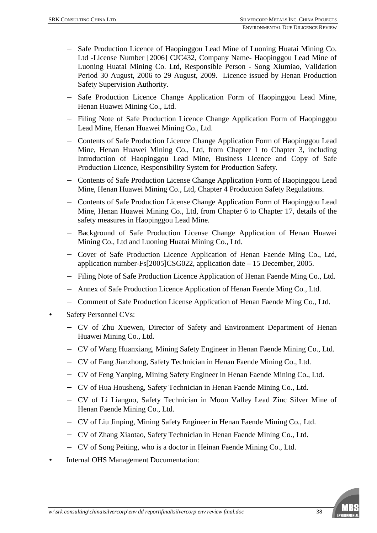- − Safe Production Licence of Haopinggou Lead Mine of Luoning Huatai Mining Co. Ltd -License Number [2006] CJC432, Company Name- Haopinggou Lead Mine of Luoning Huatai Mining Co. Ltd, Responsible Person - Song Xiumiao, Validation Period 30 August, 2006 to 29 August, 2009. Licence issued by Henan Production Safety Supervision Authority.
- Safe Production Licence Change Application Form of Haopinggou Lead Mine, Henan Huawei Mining Co., Ltd.
- − Filing Note of Safe Production Licence Change Application Form of Haopinggou Lead Mine, Henan Huawei Mining Co., Ltd.
- − Contents of Safe Production Licence Change Application Form of Haopinggou Lead Mine, Henan Huawei Mining Co., Ltd, from Chapter 1 to Chapter 3, including Introduction of Haopinggou Lead Mine, Business Licence and Copy of Safe Production Licence, Responsibility System for Production Safety.
- − Contents of Safe Production License Change Application Form of Haopinggou Lead Mine, Henan Huawei Mining Co., Ltd, Chapter 4 Production Safety Regulations.
- − Contents of Safe Production License Change Application Form of Haopinggou Lead Mine, Henan Huawei Mining Co., Ltd, from Chapter 6 to Chapter 17, details of the safety measures in Haopinggou Lead Mine.
- − Background of Safe Production License Change Application of Henan Huawei Mining Co., Ltd and Luoning Huatai Mining Co., Ltd.
- − Cover of Safe Production Licence Application of Henan Faende Ming Co., Ltd, application number-Fs[2005]CSG022, application date – 15 December, 2005.
- − Filing Note of Safe Production Licence Application of Henan Faende Ming Co., Ltd.
- − Annex of Safe Production Licence Application of Henan Faende Ming Co., Ltd.
- − Comment of Safe Production License Application of Henan Faende Ming Co., Ltd.
- Safety Personnel CVs:
	- − CV of Zhu Xuewen, Director of Safety and Environment Department of Henan Huawei Mining Co., Ltd.
	- − CV of Wang Huanxiang, Mining Safety Engineer in Henan Faende Mining Co., Ltd.
	- − CV of Fang Jianzhong, Safety Technician in Henan Faende Mining Co., Ltd.
	- − CV of Feng Yanping, Mining Safety Engineer in Henan Faende Mining Co., Ltd.
	- − CV of Hua Housheng, Safety Technician in Henan Faende Mining Co., Ltd.
	- − CV of Li Lianguo, Safety Technician in Moon Valley Lead Zinc Silver Mine of Henan Faende Mining Co., Ltd.
	- − CV of Liu Jinping, Mining Safety Engineer in Henan Faende Mining Co., Ltd.
	- − CV of Zhang Xiaotao, Safety Technician in Henan Faende Mining Co., Ltd.
	- − CV of Song Peiting, who is a doctor in Heinan Faende Mining Co., Ltd.
- Internal OHS Management Documentation:

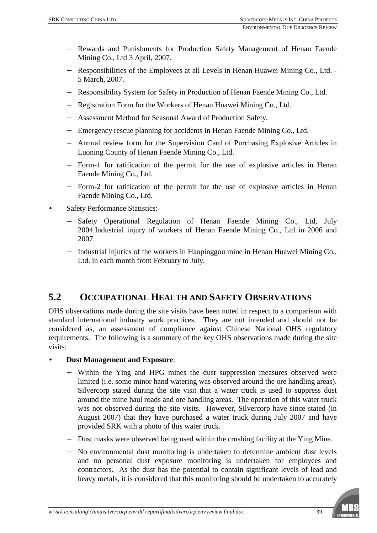- − Rewards and Punishments for Production Safety Management of Henan Faende Mining Co., Ltd 3 April, 2007.
- − Responsibilities of the Employees at all Levels in Henan Huawei Mining Co., Ltd. 5 March, 2007.
- − Responsibility System for Safety in Production of Henan Faende Mining Co., Ltd.
- − Registration Form for the Workers of Henan Huawei Mining Co., Ltd.
- − Assessment Method for Seasonal Award of Production Safety.
- − Emergency rescue planning for accidents in Henan Faende Mining Co., Ltd.
- − Annual review form for the Supervision Card of Purchasing Explosive Articles in Luoning County of Henan Faende Mining Co., Ltd.
- − Form-1 for ratification of the permit for the use of explosive articles in Henan Faende Mining Co., Ltd.
- − Form-2 for ratification of the permit for the use of explosive articles in Henan Faende Mining Co., Ltd.
- Safety Performance Statistics:
	- Safety Operational Regulation of Henan Faende Mining Co., Ltd, July 2004.Industrial injury of workers of Henan Faende Mining Co., Ltd in 2006 and 2007.
	- − Industrial injuries of the workers in Haopinggou mine in Henan Huawei Mining Co., Ltd. in each month from February to July.

## **5.2 OCCUPATIONAL HEALTH AND SAFETY OBSERVATIONS**

OHS observations made during the site visits have been noted in respect to a comparison with standard international industry work practices. They are not intended and should not be considered as, an assessment of compliance against Chinese National OHS regulatory requirements. The following is a summary of the key OHS observations made during the site visits:

#### • **Dust Management and Exposure**:

- − Within the Ying and HPG mines the dust suppression measures observed were limited (i.e. some minor hand watering was observed around the ore handling areas). Silvercorp stated during the site visit that a water truck is used to suppress dust around the mine haul roads and ore handling areas. The operation of this water truck was not observed during the site visits. However, Silvercorp have since stated (in August 2007) that they have purchased a water truck during July 2007 and have provided SRK with a photo of this water truck.
- − Dust masks were observed being used within the crushing facility at the Ying Mine.
- − No environmental dust monitoring is undertaken to determine ambient dust levels and no personal dust exposure monitoring is undertaken for employees and contractors. As the dust has the potential to contain significant levels of lead and heavy metals, it is considered that this monitoring should be undertaken to accurately

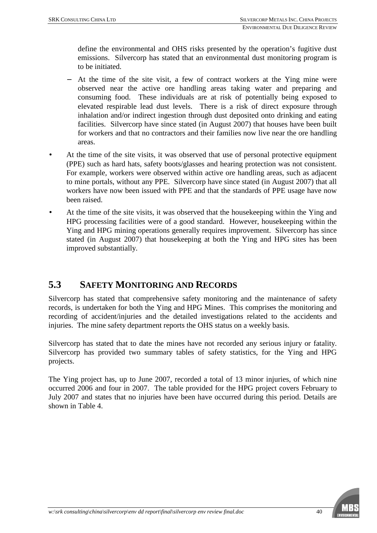define the environmental and OHS risks presented by the operation's fugitive dust emissions. Silvercorp has stated that an environmental dust monitoring program is to be initiated.

- − At the time of the site visit, a few of contract workers at the Ying mine were observed near the active ore handling areas taking water and preparing and consuming food. These individuals are at risk of potentially being exposed to elevated respirable lead dust levels. There is a risk of direct exposure through inhalation and/or indirect ingestion through dust deposited onto drinking and eating facilities. Silvercorp have since stated (in August 2007) that houses have been built for workers and that no contractors and their families now live near the ore handling areas.
- At the time of the site visits, it was observed that use of personal protective equipment (PPE) such as hard hats, safety boots/glasses and hearing protection was not consistent. For example, workers were observed within active ore handling areas, such as adjacent to mine portals, without any PPE. Silvercorp have since stated (in August 2007) that all workers have now been issued with PPE and that the standards of PPE usage have now been raised.
- At the time of the site visits, it was observed that the housekeeping within the Ying and HPG processing facilities were of a good standard. However, housekeeping within the Ying and HPG mining operations generally requires improvement. Silvercorp has since stated (in August 2007) that housekeeping at both the Ying and HPG sites has been improved substantially.

## **5.3 SAFETY MONITORING AND RECORDS**

Silvercorp has stated that comprehensive safety monitoring and the maintenance of safety records, is undertaken for both the Ying and HPG Mines. This comprises the monitoring and recording of accident/injuries and the detailed investigations related to the accidents and injuries. The mine safety department reports the OHS status on a weekly basis.

Silvercorp has stated that to date the mines have not recorded any serious injury or fatality. Silvercorp has provided two summary tables of safety statistics, for the Ying and HPG projects.

The Ying project has, up to June 2007, recorded a total of 13 minor injuries, of which nine occurred 2006 and four in 2007. The table provided for the HPG project covers February to July 2007 and states that no injuries have been have occurred during this period. Details are shown in Table 4.

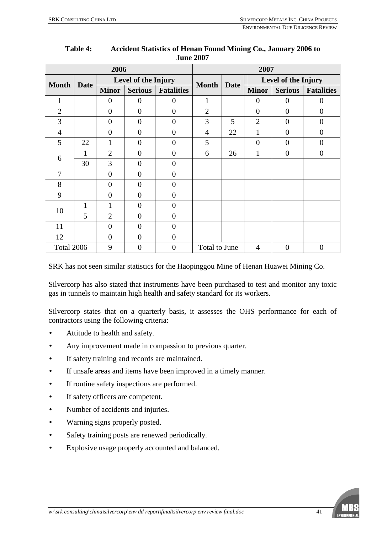| 2006           |    |                             |                  | 2007              |                |                     |                |                |                   |
|----------------|----|-----------------------------|------------------|-------------------|----------------|---------------------|----------------|----------------|-------------------|
| <b>Month</b>   |    | Level of the Injury<br>Date |                  | <b>Month</b>      | <b>Date</b>    | Level of the Injury |                |                |                   |
|                |    | <b>Minor</b>                | <b>Serious</b>   | <b>Fatalities</b> |                |                     | <b>Minor</b>   | <b>Serious</b> | <b>Fatalities</b> |
| 1              |    | $\theta$                    | $\theta$         | $\theta$          | 1              |                     | $\theta$       | $\theta$       | $\boldsymbol{0}$  |
| $\overline{2}$ |    | $\overline{0}$              | $\overline{0}$   | $\overline{0}$    | $\overline{2}$ |                     | $\Omega$       | $\theta$       | $\overline{0}$    |
| 3              |    | $\overline{0}$              | $\theta$         | $\overline{0}$    | 3              | 5                   | $\overline{2}$ | $\theta$       | $\overline{0}$    |
| 4              |    | $\overline{0}$              | $\theta$         | $\overline{0}$    | $\overline{4}$ | 22                  | 1              | $\theta$       | $\overline{0}$    |
| 5              | 22 | 1                           | $\overline{0}$   | $\overline{0}$    | 5              |                     | $\Omega$       | $\Omega$       | $\overline{0}$    |
| 6              |    | $\overline{2}$              | $\overline{0}$   | $\overline{0}$    | 6              | 26                  | 1              | $\overline{0}$ | $\boldsymbol{0}$  |
|                | 30 | 3                           | $\overline{0}$   | $\overline{0}$    |                |                     |                |                |                   |
| $\overline{7}$ |    | $\overline{0}$              | $\theta$         | $\overline{0}$    |                |                     |                |                |                   |
| 8              |    | $\theta$                    | $\theta$         | $\overline{0}$    |                |                     |                |                |                   |
| 9              |    | $\theta$                    | $\boldsymbol{0}$ | $\theta$          |                |                     |                |                |                   |
| 10             | 1  | 1                           | $\boldsymbol{0}$ | $\theta$          |                |                     |                |                |                   |
|                | 5  | $\overline{2}$              | $\overline{0}$   | $\overline{0}$    |                |                     |                |                |                   |
| 11             |    | $\overline{0}$              | $\theta$         | $\overline{0}$    |                |                     |                |                |                   |
| 12             |    | $\overline{0}$              | $\overline{0}$   | $\overline{0}$    |                |                     |                |                |                   |
| Total 2006     |    | 9                           | $\overline{0}$   | $\overline{0}$    | Total to June  |                     | $\overline{4}$ | $\theta$       | $\overline{0}$    |

#### **Table 4: Accident Statistics of Henan Found Mining Co., January 2006 to June 2007**

SRK has not seen similar statistics for the Haopinggou Mine of Henan Huawei Mining Co.

Silvercorp has also stated that instruments have been purchased to test and monitor any toxic gas in tunnels to maintain high health and safety standard for its workers.

Silvercorp states that on a quarterly basis, it assesses the OHS performance for each of contractors using the following criteria:

- Attitude to health and safety.
- Any improvement made in compassion to previous quarter.
- If safety training and records are maintained.
- If unsafe areas and items have been improved in a timely manner.
- If routine safety inspections are performed.
- If safety officers are competent.
- Number of accidents and injuries.
- Warning signs properly posted.
- Safety training posts are renewed periodically.
- Explosive usage properly accounted and balanced.

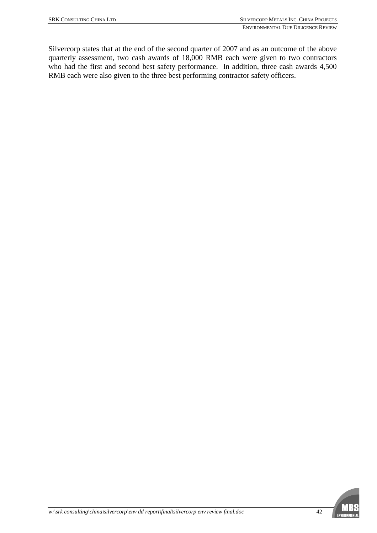Silvercorp states that at the end of the second quarter of 2007 and as an outcome of the above quarterly assessment, two cash awards of 18,000 RMB each were given to two contractors who had the first and second best safety performance. In addition, three cash awards 4,500 RMB each were also given to the three best performing contractor safety officers.

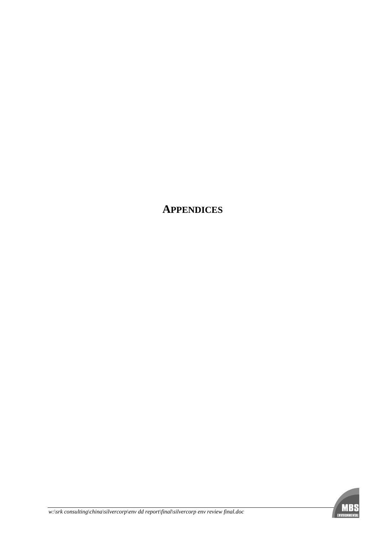**APPENDICES**

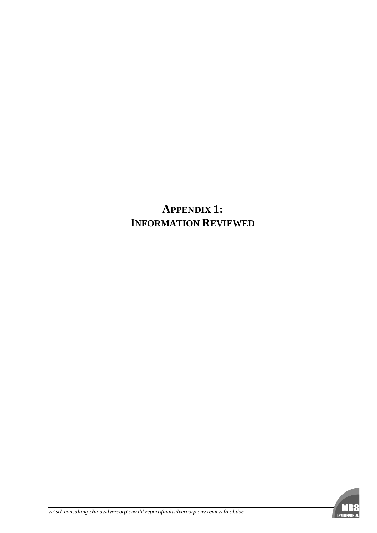# **APPENDIX 1: INFORMATION REVIEWED**

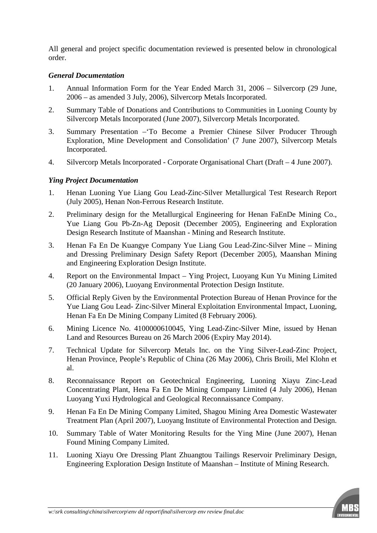All general and project specific documentation reviewed is presented below in chronological order.

#### *General Documentation*

- 1. Annual Information Form for the Year Ended March 31, 2006 Silvercorp (29 June, 2006 – as amended 3 July, 2006), Silvercorp Metals Incorporated.
- 2. Summary Table of Donations and Contributions to Communities in Luoning County by Silvercorp Metals Incorporated (June 2007), Silvercorp Metals Incorporated.
- 3. Summary Presentation –'To Become a Premier Chinese Silver Producer Through Exploration, Mine Development and Consolidation' (7 June 2007), Silvercorp Metals Incorporated.
- 4. Silvercorp Metals Incorporated Corporate Organisational Chart (Draft 4 June 2007).

#### *Ying Project Documentation*

- 1. Henan Luoning Yue Liang Gou Lead-Zinc-Silver Metallurgical Test Research Report (July 2005), Henan Non-Ferrous Research Institute.
- 2. Preliminary design for the Metallurgical Engineering for Henan FaEnDe Mining Co., Yue Liang Gou Pb-Zn-Ag Deposit (December 2005), Engineering and Exploration Design Research Institute of Maanshan - Mining and Research Institute.
- 3. Henan Fa En De Kuangye Company Yue Liang Gou Lead-Zinc-Silver Mine Mining and Dressing Preliminary Design Safety Report (December 2005), Maanshan Mining and Engineering Exploration Design Institute.
- 4. Report on the Environmental Impact Ying Project, Luoyang Kun Yu Mining Limited (20 January 2006), Luoyang Environmental Protection Design Institute.
- 5. Official Reply Given by the Environmental Protection Bureau of Henan Province for the Yue Liang Gou Lead- Zinc-Silver Mineral Exploitation Environmental Impact, Luoning, Henan Fa En De Mining Company Limited (8 February 2006).
- 6. Mining Licence No. 4100000610045, Ying Lead-Zinc-Silver Mine, issued by Henan Land and Resources Bureau on 26 March 2006 (Expiry May 2014).
- 7. Technical Update for Silvercorp Metals Inc. on the Ying Silver-Lead-Zinc Project, Henan Province, People's Republic of China (26 May 2006), Chris Broili, Mel Klohn et al.
- 8. Reconnaissance Report on Geotechnical Engineering, Luoning Xiayu Zinc-Lead Concentrating Plant, Hena Fa En De Mining Company Limited (4 July 2006), Henan Luoyang Yuxi Hydrological and Geological Reconnaissance Company.
- 9. Henan Fa En De Mining Company Limited, Shagou Mining Area Domestic Wastewater Treatment Plan (April 2007), Luoyang Institute of Environmental Protection and Design.
- 10. Summary Table of Water Monitoring Results for the Ying Mine (June 2007), Henan Found Mining Company Limited.
- 11. Luoning Xiayu Ore Dressing Plant Zhuangtou Tailings Reservoir Preliminary Design, Engineering Exploration Design Institute of Maanshan – Institute of Mining Research.

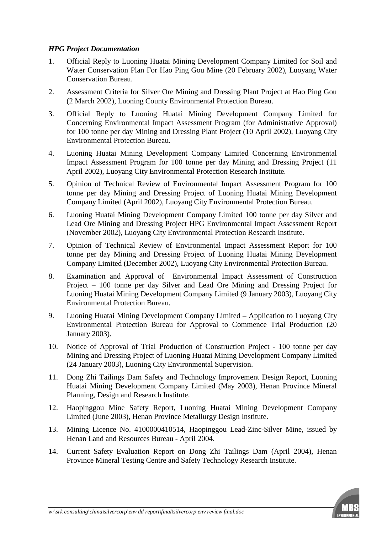#### *HPG Project Documentation*

- 1. Official Reply to Luoning Huatai Mining Development Company Limited for Soil and Water Conservation Plan For Hao Ping Gou Mine (20 February 2002), Luoyang Water Conservation Bureau.
- 2. Assessment Criteria for Silver Ore Mining and Dressing Plant Project at Hao Ping Gou (2 March 2002), Luoning County Environmental Protection Bureau.
- 3. Official Reply to Luoning Huatai Mining Development Company Limited for Concerning Environmental Impact Assessment Program (for Administrative Approval) for 100 tonne per day Mining and Dressing Plant Project (10 April 2002), Luoyang City Environmental Protection Bureau.
- 4. Luoning Huatai Mining Development Company Limited Concerning Environmental Impact Assessment Program for 100 tonne per day Mining and Dressing Project (11 April 2002), Luoyang City Environmental Protection Research Institute.
- 5. Opinion of Technical Review of Environmental Impact Assessment Program for 100 tonne per day Mining and Dressing Project of Luoning Huatai Mining Development Company Limited (April 2002), Luoyang City Environmental Protection Bureau.
- 6. Luoning Huatai Mining Development Company Limited 100 tonne per day Silver and Lead Ore Mining and Dressing Project HPG Environmental Impact Assessment Report (November 2002), Luoyang City Environmental Protection Research Institute.
- 7. Opinion of Technical Review of Environmental Impact Assessment Report for 100 tonne per day Mining and Dressing Project of Luoning Huatai Mining Development Company Limited (December 2002), Luoyang City Environmental Protection Bureau.
- 8. Examination and Approval of Environmental Impact Assessment of Construction Project – 100 tonne per day Silver and Lead Ore Mining and Dressing Project for Luoning Huatai Mining Development Company Limited (9 January 2003), Luoyang City Environmental Protection Bureau.
- 9. Luoning Huatai Mining Development Company Limited Application to Luoyang City Environmental Protection Bureau for Approval to Commence Trial Production (20 January 2003).
- 10. Notice of Approval of Trial Production of Construction Project 100 tonne per day Mining and Dressing Project of Luoning Huatai Mining Development Company Limited (24 January 2003), Luoning City Environmental Supervision.
- 11. Dong Zhi Tailings Dam Safety and Technology Improvement Design Report, Luoning Huatai Mining Development Company Limited (May 2003), Henan Province Mineral Planning, Design and Research Institute.
- 12. Haopinggou Mine Safety Report, Luoning Huatai Mining Development Company Limited (June 2003), Henan Province Metallurgy Design Institute.
- 13. Mining Licence No. 4100000410514, Haopinggou Lead-Zinc-Silver Mine, issued by Henan Land and Resources Bureau - April 2004.
- 14. Current Safety Evaluation Report on Dong Zhi Tailings Dam (April 2004), Henan Province Mineral Testing Centre and Safety Technology Research Institute.

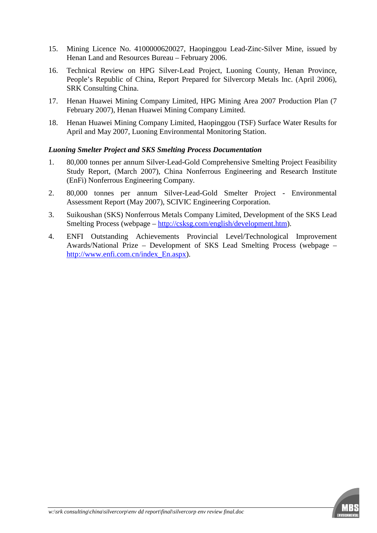- 15. Mining Licence No. 4100000620027, Haopinggou Lead-Zinc-Silver Mine, issued by Henan Land and Resources Bureau – February 2006.
- 16. Technical Review on HPG Silver-Lead Project, Luoning County, Henan Province, People's Republic of China, Report Prepared for Silvercorp Metals Inc. (April 2006), SRK Consulting China.
- 17. Henan Huawei Mining Company Limited, HPG Mining Area 2007 Production Plan (7 February 2007), Henan Huawei Mining Company Limited.
- 18. Henan Huawei Mining Company Limited, Haopinggou (TSF) Surface Water Results for April and May 2007, Luoning Environmental Monitoring Station.

#### *Luoning Smelter Project and SKS Smelting Process Documentation*

- 1. 80,000 tonnes per annum Silver-Lead-Gold Comprehensive Smelting Project Feasibility Study Report, (March 2007), China Nonferrous Engineering and Research Institute (EnFi) Nonferrous Engineering Company.
- 2. 80,000 tonnes per annum Silver-Lead-Gold Smelter Project Environmental Assessment Report (May 2007), SCIVIC Engineering Corporation.
- 3. Suikoushan (SKS) Nonferrous Metals Company Limited, Development of the SKS Lead Smelting Process (webpage –<http://csksg.com/english/development.htm>).
- 4. ENFI Outstanding Achievements Provincial Level/Technological Improvement Awards/National Prize – Development of SKS Lead Smelting Process (webpage – [http://www.enfi.com.cn/index\\_En.aspx\)](http://www.enfi.com.cn/index_En.aspx).

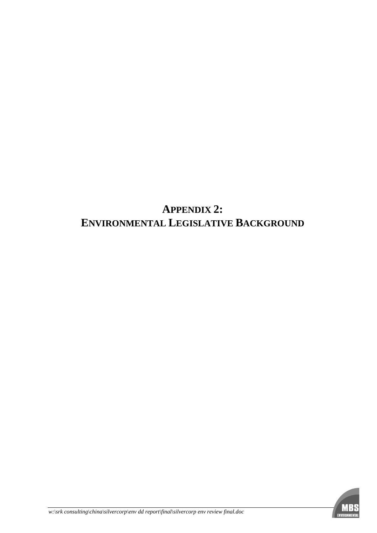# **APPENDIX 2: ENVIRONMENTAL LEGISLATIVE BACKGROUND**

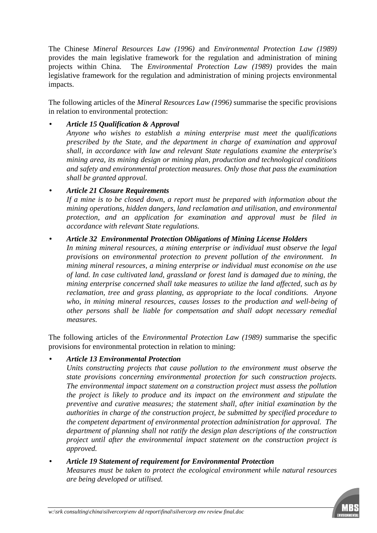The Chinese *Mineral Resources Law (1996)* and *Environmental Protection Law (1989)* provides the main legislative framework for the regulation and administration of mining projects within China. The *Environmental Protection Law (1989)* provides the main legislative framework for the regulation and administration of mining projects environmental impacts.

The following articles of the *Mineral Resources Law (1996)* summarise the specific provisions in relation to environmental protection:

#### • *Article 15 Qualification & Approval*

*Anyone who wishes to establish a mining enterprise must meet the qualifications prescribed by the State, and the department in charge of examination and approval shall, in accordance with law and relevant State regulations examine the enterprise's mining area, its mining design or mining plan, production and technological conditions and safety and environmental protection measures. Only those that pass the examination shall be granted approval.* 

#### • *Article 21 Closure Requirements*

*If a mine is to be closed down, a report must be prepared with information about the mining operations, hidden dangers, land reclamation and utilisation, and environmental protection, and an application for examination and approval must be filed in accordance with relevant State regulations.* 

#### • *Article 32 Environmental Protection Obligations of Mining License Holders*

*In mining mineral resources, a mining enterprise or individual must observe the legal provisions on environmental protection to prevent pollution of the environment. In mining mineral resources, a mining enterprise or individual must economise on the use of land. In case cultivated land, grassland or forest land is damaged due to mining, the mining enterprise concerned shall take measures to utilize the land affected, such as by reclamation, tree and grass planting, as appropriate to the local conditions. Anyone who, in mining mineral resources, causes losses to the production and well-being of other persons shall be liable for compensation and shall adopt necessary remedial measures.* 

The following articles of the *Environmental Protection Law (1989)* summarise the specific provisions for environmental protection in relation to mining:

#### • *Article 13 Environmental Protection*

*Units constructing projects that cause pollution to the environment must observe the state provisions concerning environmental protection for such construction projects. The environmental impact statement on a construction project must assess the pollution the project is likely to produce and its impact on the environment and stipulate the preventive and curative measures; the statement shall, after initial examination by the authorities in charge of the construction project, be submitted by specified procedure to the competent department of environmental protection administration for approval. The department of planning shall not ratify the design plan descriptions of the construction project until after the environmental impact statement on the construction project is approved.* 

#### • *Article 19 Statement of requirement for Environmental Protection*

*Measures must be taken to protect the ecological environment while natural resources are being developed or utilised.* 

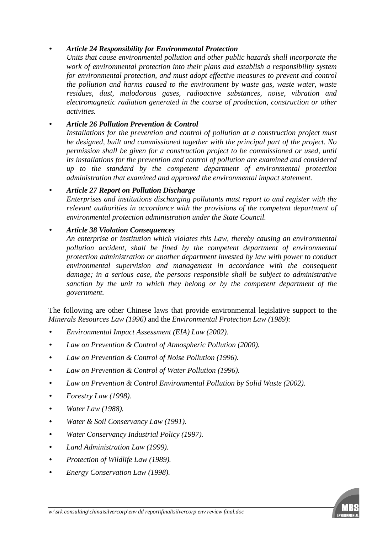#### • *Article 24 Responsibility for Environmental Protection*

*Units that cause environmental pollution and other public hazards shall incorporate the work of environmental protection into their plans and establish a responsibility system for environmental protection, and must adopt effective measures to prevent and control the pollution and harms caused to the environment by waste gas, waste water, waste residues, dust, malodorous gases, radioactive substances, noise, vibration and electromagnetic radiation generated in the course of production, construction or other activities.* 

#### • *Article 26 Pollution Prevention & Control*

*Installations for the prevention and control of pollution at a construction project must be designed, built and commissioned together with the principal part of the project. No permission shall be given for a construction project to be commissioned or used, until its installations for the prevention and control of pollution are examined and considered up to the standard by the competent department of environmental protection administration that examined and approved the environmental impact statement.*

#### • *Article 27 Report on Pollution Discharge*

*Enterprises and institutions discharging pollutants must report to and register with the relevant authorities in accordance with the provisions of the competent department of environmental protection administration under the State Council.*

#### • *Article 38 Violation Consequences*

*An enterprise or institution which violates this Law, thereby causing an environmental pollution accident, shall be fined by the competent department of environmental protection administration or another department invested by law with power to conduct environmental supervision and management in accordance with the consequent damage; in a serious case, the persons responsible shall be subject to administrative sanction by the unit to which they belong or by the competent department of the government.* 

The following are other Chinese laws that provide environmental legislative support to the *Minerals Resources Law (1996)* and the *Environmental Protection Law (1989)*:

- *Environmental Impact Assessment (EIA) Law (2002).*
- *Law on Prevention & Control of Atmospheric Pollution (2000).*
- *Law on Prevention & Control of Noise Pollution (1996).*
- *Law on Prevention & Control of Water Pollution (1996).*
- *Law on Prevention & Control Environmental Pollution by Solid Waste (2002).*
- *Forestry Law (1998).*
- *Water Law (1988).*
- *Water & Soil Conservancy Law (1991).*
- *Water Conservancy Industrial Policy (1997).*
- *Land Administration Law (1999).*
- *Protection of Wildlife Law (1989).*
- *Energy Conservation Law (1998).*

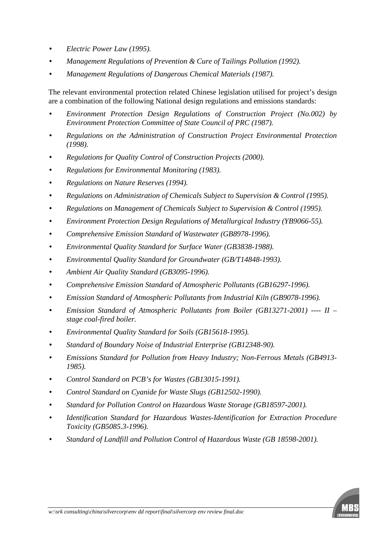- *Electric Power Law (1995).*
- *Management Regulations of Prevention & Cure of Tailings Pollution (1992).*
- *Management Regulations of Dangerous Chemical Materials (1987).*

The relevant environmental protection related Chinese legislation utilised for project's design are a combination of the following National design regulations and emissions standards:

- *Environment Protection Design Regulations of Construction Project (No.002) by Environment Protection Committee of State Council of PRC (1987).*
- *Regulations on the Administration of Construction Project Environmental Protection (1998).*
- *Regulations for Quality Control of Construction Projects (2000).*
- *Regulations for Environmental Monitoring (1983).*
- *Regulations on Nature Reserves (1994).*
- *Regulations on Administration of Chemicals Subject to Supervision & Control (1995).*
- *Regulations on Management of Chemicals Subject to Supervision & Control (1995).*
- *Environment Protection Design Regulations of Metallurgical Industry (YB9066-55).*
- *Comprehensive Emission Standard of Wastewater (GB8978-1996).*
- *Environmental Quality Standard for Surface Water (GB3838-1988).*
- *Environmental Quality Standard for Groundwater (GB/T14848-1993).*
- *Ambient Air Quality Standard (GB3095-1996).*
- *Comprehensive Emission Standard of Atmospheric Pollutants (GB16297-1996).*
- *Emission Standard of Atmospheric Pollutants from Industrial Kiln (GB9078-1996).*
- *Emission Standard of Atmospheric Pollutants from Boiler (GB13271-2001) ---- II stage coal-fired boiler.*
- *Environmental Quality Standard for Soils (GB15618-1995).*
- *Standard of Boundary Noise of Industrial Enterprise (GB12348-90).*
- *Emissions Standard for Pollution from Heavy Industry; Non-Ferrous Metals (GB4913- 1985).*
- *Control Standard on PCB's for Wastes (GB13015-1991).*
- *Control Standard on Cyanide for Waste Slugs (GB12502-1990).*
- *Standard for Pollution Control on Hazardous Waste Storage (GB18597-2001).*
- *Identification Standard for Hazardous Wastes-Identification for Extraction Procedure Toxicity (GB5085.3-1996).*
- *Standard of Landfill and Pollution Control of Hazardous Waste (GB 18598-2001).*

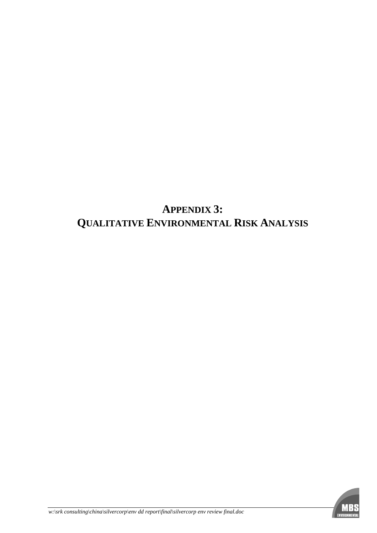# **APPENDIX 3: QUALITATIVE ENVIRONMENTAL RISK ANALYSIS**

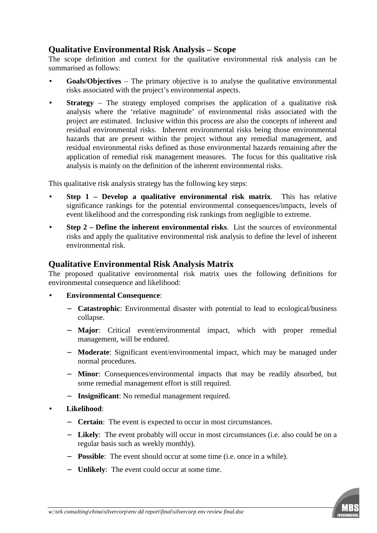## **Qualitative Environmental Risk Analysis – Scope**

The scope definition and context for the qualitative environmental risk analysis can be summarised as follows:

- **Goals/Objectives** The primary objective is to analyse the qualitative environmental risks associated with the project's environmental aspects.
- **Strategy** The strategy employed comprises the application of a qualitative risk analysis where the 'relative magnitude' of environmental risks associated with the project are estimated. Inclusive within this process are also the concepts of inherent and residual environmental risks. Inherent environmental risks being those environmental hazards that are present within the project without any remedial management, and residual environmental risks defined as those environmental hazards remaining after the application of remedial risk management measures. The focus for this qualitative risk analysis is mainly on the definition of the inherent environmental risks.

This qualitative risk analysis strategy has the following key steps:

- **Step 1 – Develop a qualitative environmental risk matrix**. This has relative significance rankings for the potential environmental consequences/impacts, levels of event likelihood and the corresponding risk rankings from negligible to extreme.
- **Step 2 – Define the inherent environmental risks**. List the sources of environmental risks and apply the qualitative environmental risk analysis to define the level of inherent environmental risk.

#### **Qualitative Environmental Risk Analysis Matrix**

The proposed qualitative environmental risk matrix uses the following definitions for environmental consequence and likelihood:

- **Environmental Consequence**:
	- − **Catastrophic**: Environmental disaster with potential to lead to ecological/business collapse.
	- − **Major**: Critical event/environmental impact, which with proper remedial management, will be endured.
	- − **Moderate**: Significant event/environmental impact, which may be managed under normal procedures.
	- − **Minor**: Consequences/environmental impacts that may be readily absorbed, but some remedial management effort is still required.
	- − **Insignificant**: No remedial management required.
- **Likelihood**:
	- − **Certain**: The event is expected to occur in most circumstances.
	- − **Likely**: The event probably will occur in most circumstances (i.e. also could be on a regular basis such as weekly monthly).
	- − **Possible**: The event should occur at some time (i.e. once in a while).
	- − **Unlikely**: The event could occur at some time.

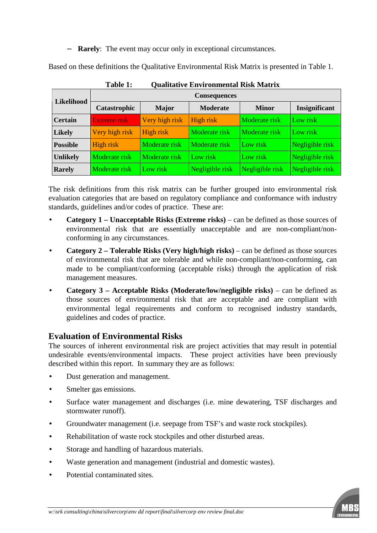− **Rarely**: The event may occur only in exceptional circumstances.

Based on these definitions the Qualitative Environmental Risk Matrix is presented in Table 1.

| Likelihood      | <b>Consequences</b>  |                |                 |                      |                 |  |  |  |
|-----------------|----------------------|----------------|-----------------|----------------------|-----------------|--|--|--|
|                 | Catastrophic         | <b>Major</b>   | <b>Moderate</b> | <b>Minor</b>         | Insignificant   |  |  |  |
| <b>Certain</b>  | <b>Extreme risk</b>  | Very high risk | High risk       | <b>Moderate</b> risk | Low risk        |  |  |  |
| <b>Likely</b>   | Very high risk       | High risk      | Moderate risk   | <b>Moderate</b> risk | Low risk        |  |  |  |
| <b>Possible</b> | High risk            | Moderate risk  | Moderate risk   | Low risk             | Negligible risk |  |  |  |
| <b>Unlikely</b> | <b>Moderate</b> risk | Moderate risk  | Low risk        | Low risk             | Negligible risk |  |  |  |
| <b>Rarely</b>   | <b>Moderate</b> risk | Low risk       | Negligible risk | Negligible risk      | Negligible risk |  |  |  |

**Table 1: Qualitative Environmental Risk Matrix** 

The risk definitions from this risk matrix can be further grouped into environmental risk evaluation categories that are based on regulatory compliance and conformance with industry standards, guidelines and/or codes of practice. These are:

- **Category 1 – Unacceptable Risks (Extreme risks)** can be defined as those sources of environmental risk that are essentially unacceptable and are non-compliant/nonconforming in any circumstances.
- **Category 2 – Tolerable Risks (Very high/high risks)** can be defined as those sources of environmental risk that are tolerable and while non-compliant/non-conforming, can made to be compliant/conforming (acceptable risks) through the application of risk management measures.
- **Category 3 – Acceptable Risks (Moderate/low/negligible risks)** can be defined as those sources of environmental risk that are acceptable and are compliant with environmental legal requirements and conform to recognised industry standards, guidelines and codes of practice.

#### **Evaluation of Environmental Risks**

The sources of inherent environmental risk are project activities that may result in potential undesirable events/environmental impacts. These project activities have been previously described within this report. In summary they are as follows:

- Dust generation and management.
- Smelter gas emissions.
- Surface water management and discharges (i.e. mine dewatering, TSF discharges and stormwater runoff).
- Groundwater management (i.e. seepage from TSF's and waste rock stockpiles).
- Rehabilitation of waste rock stockpiles and other disturbed areas.
- Storage and handling of hazardous materials.
- Waste generation and management (industrial and domestic wastes).
- Potential contaminated sites.

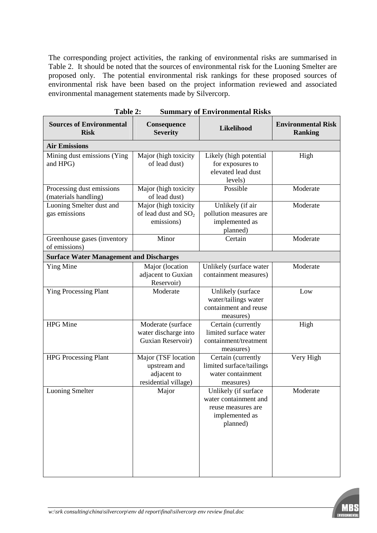The corresponding project activities, the ranking of environmental risks are summarised in Table 2. It should be noted that the sources of environmental risk for the Luoning Smelter are proposed only. The potential environmental risk rankings for these proposed sources of environmental risk have been based on the project information reviewed and associated environmental management statements made by Silvercorp.

| <b>Sources of Environmental</b><br><b>Risk</b>    | Consequence<br><b>Severity</b>                                             | Likelihood                                                                                        | <b>Environmental Risk</b><br><b>Ranking</b> |  |
|---------------------------------------------------|----------------------------------------------------------------------------|---------------------------------------------------------------------------------------------------|---------------------------------------------|--|
| <b>Air Emissions</b>                              |                                                                            |                                                                                                   |                                             |  |
| Mining dust emissions (Ying<br>and HPG)           | Major (high toxicity<br>of lead dust)                                      | Likely (high potential<br>for exposures to<br>elevated lead dust<br>levels)                       | High                                        |  |
| Processing dust emissions<br>(materials handling) | Major (high toxicity<br>of lead dust)                                      | Possible                                                                                          | Moderate                                    |  |
| Luoning Smelter dust and<br>gas emissions         | Major (high toxicity<br>of lead dust and $SO_2$<br>emissions)              | Unlikely (if air<br>pollution measures are<br>implemented as<br>planned)                          | Moderate                                    |  |
| Greenhouse gases (inventory<br>of emissions)      | Minor                                                                      | Certain                                                                                           | Moderate                                    |  |
| <b>Surface Water Management and Discharges</b>    |                                                                            |                                                                                                   |                                             |  |
| Ying Mine                                         | Major (location<br>adjacent to Guxian<br>Reservoir)                        | Unlikely (surface water<br>containment measures)                                                  | Moderate                                    |  |
| <b>Ying Processing Plant</b>                      | Moderate                                                                   | Unlikely (surface<br>water/tailings water<br>containment and reuse<br>measures)                   | Low                                         |  |
| <b>HPG</b> Mine                                   | Moderate (surface<br>water discharge into<br>Guxian Reservoir)             | Certain (currently<br>limited surface water<br>containment/treatment<br>measures)                 | High                                        |  |
| <b>HPG Processing Plant</b>                       | Major (TSF location<br>upstream and<br>adjacent to<br>residential village) | Certain (currently<br>limited surface/tailings<br>water containment<br>measures)                  | Very High                                   |  |
| <b>Luoning Smelter</b>                            | Major                                                                      | Unlikely (if surface<br>water containment and<br>reuse measures are<br>implemented as<br>planned) | Moderate                                    |  |

| <b>Table 2:</b><br><b>Summary of Environmental Risks</b> |
|----------------------------------------------------------|
|----------------------------------------------------------|

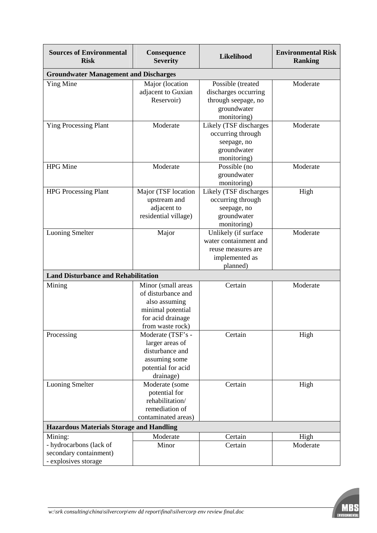| <b>Sources of Environmental</b><br><b>Risk</b>  | Consequence<br><b>Severity</b> | Likelihood                            | <b>Environmental Risk</b><br><b>Ranking</b> |  |  |
|-------------------------------------------------|--------------------------------|---------------------------------------|---------------------------------------------|--|--|
| <b>Groundwater Management and Discharges</b>    |                                |                                       |                                             |  |  |
| Ying Mine                                       | Major (location                | Possible (treated                     | Moderate                                    |  |  |
|                                                 | adjacent to Guxian             | discharges occurring                  |                                             |  |  |
|                                                 | Reservoir)                     | through seepage, no                   |                                             |  |  |
|                                                 |                                | groundwater                           |                                             |  |  |
|                                                 |                                | monitoring)                           |                                             |  |  |
| <b>Ying Processing Plant</b>                    | Moderate                       | Likely (TSF discharges                | Moderate                                    |  |  |
|                                                 |                                | occurring through                     |                                             |  |  |
|                                                 |                                | seepage, no                           |                                             |  |  |
|                                                 |                                | groundwater                           |                                             |  |  |
|                                                 |                                | monitoring)                           |                                             |  |  |
| <b>HPG</b> Mine                                 | Moderate                       | Possible (no<br>groundwater           | Moderate                                    |  |  |
|                                                 |                                |                                       |                                             |  |  |
| <b>HPG Processing Plant</b>                     | Major (TSF location            | monitoring)<br>Likely (TSF discharges | High                                        |  |  |
|                                                 | upstream and                   | occurring through                     |                                             |  |  |
|                                                 | adjacent to                    | seepage, no                           |                                             |  |  |
|                                                 | residential village)           | groundwater                           |                                             |  |  |
|                                                 |                                | monitoring)                           |                                             |  |  |
| <b>Luoning Smelter</b>                          | Major                          | Unlikely (if surface                  | Moderate                                    |  |  |
|                                                 |                                | water containment and                 |                                             |  |  |
|                                                 |                                | reuse measures are                    |                                             |  |  |
|                                                 |                                | implemented as                        |                                             |  |  |
|                                                 |                                | planned)                              |                                             |  |  |
| <b>Land Disturbance and Rehabilitation</b>      |                                |                                       |                                             |  |  |
| Mining                                          | Minor (small areas             | Certain                               | Moderate                                    |  |  |
|                                                 | of disturbance and             |                                       |                                             |  |  |
|                                                 | also assuming                  |                                       |                                             |  |  |
|                                                 | minimal potential              |                                       |                                             |  |  |
|                                                 | for acid drainage              |                                       |                                             |  |  |
|                                                 | from waste rock)               |                                       |                                             |  |  |
| Processing                                      | Moderate (TSF's -              | Certain                               | High                                        |  |  |
|                                                 | larger areas of                |                                       |                                             |  |  |
|                                                 | disturbance and                |                                       |                                             |  |  |
|                                                 | assuming some                  |                                       |                                             |  |  |
|                                                 | potential for acid             |                                       |                                             |  |  |
| <b>Luoning Smelter</b>                          | drainage)<br>Moderate (some    | Certain                               | High                                        |  |  |
|                                                 | potential for                  |                                       |                                             |  |  |
|                                                 | rehabilitation/                |                                       |                                             |  |  |
|                                                 | remediation of                 |                                       |                                             |  |  |
|                                                 | contaminated areas)            |                                       |                                             |  |  |
| <b>Hazardous Materials Storage and Handling</b> |                                |                                       |                                             |  |  |
| Mining:                                         | Moderate                       | Certain                               | High                                        |  |  |
| - hydrocarbons (lack of                         | Minor                          | Certain                               | Moderate                                    |  |  |
| secondary containment)                          |                                |                                       |                                             |  |  |
| - explosives storage                            |                                |                                       |                                             |  |  |